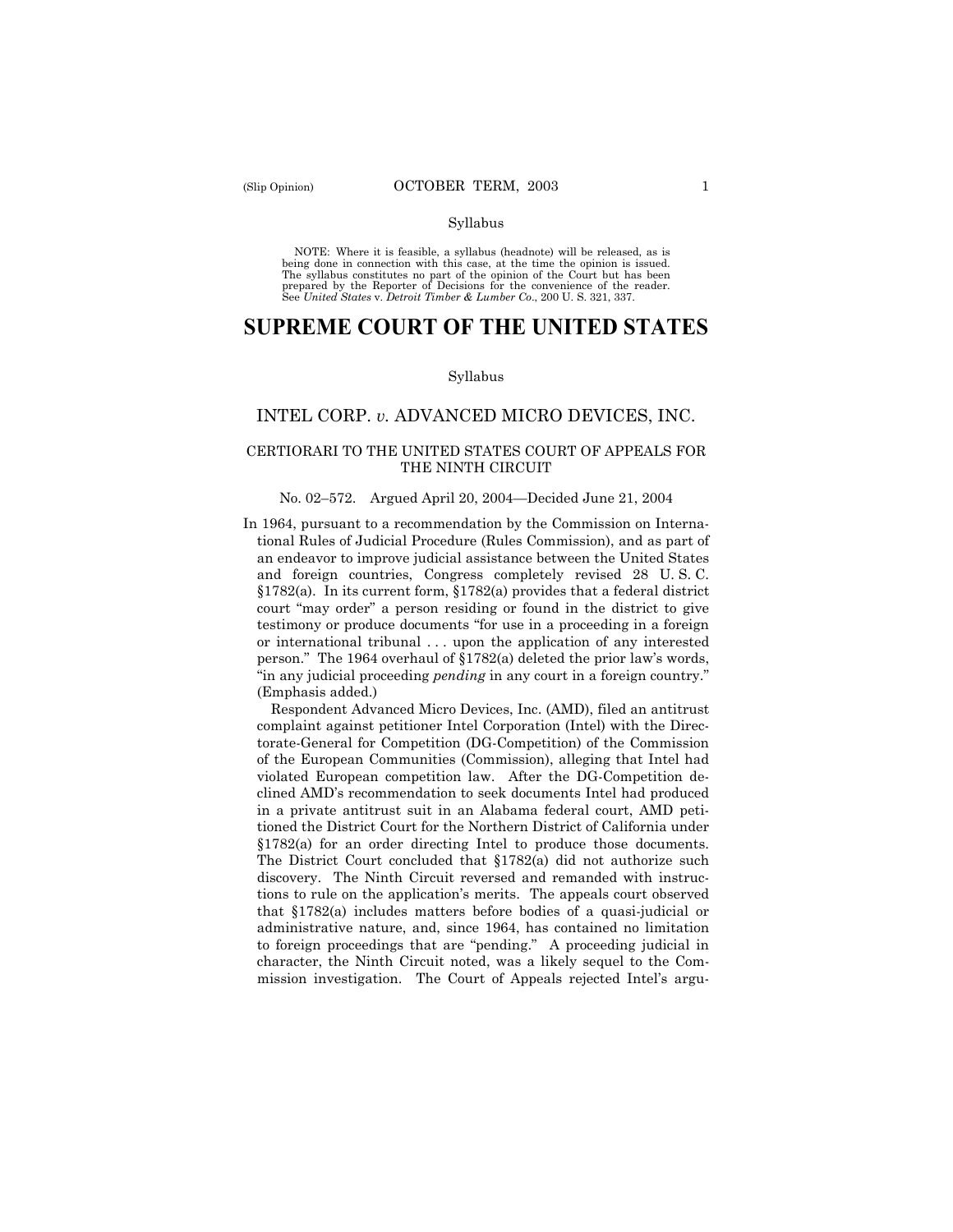NOTE: Where it is feasible, a syllabus (headnote) will be released, as is being done in connection with this case, at the time the opinion is issued. The syllabus constitutes no part of the opinion of the Court but has been<br>prepared by the Reporter of Decisions for the convenience of the reader.<br>See United States v. Detroit Timber & Lumber Co., 200 U. S. 321, 337.

# **SUPREME COURT OF THE UNITED STATES**

#### Syllabus

## INTEL CORP. *v.* ADVANCED MICRO DEVICES, INC.

## CERTIORARI TO THE UNITED STATES COURT OF APPEALS FOR THE NINTH CIRCUIT

#### No. 02–572. Argued April 20, 2004—Decided June 21, 2004

In 1964, pursuant to a recommendation by the Commission on International Rules of Judicial Procedure (Rules Commission), and as part of an endeavor to improve judicial assistance between the United States and foreign countries, Congress completely revised 28 U. S. C. §1782(a). In its current form, §1782(a) provides that a federal district court "may order" a person residing or found in the district to give testimony or produce documents "for use in a proceeding in a foreign or international tribunal . . . upon the application of any interested person." The 1964 overhaul of §1782(a) deleted the prior law's words, "in any judicial proceeding *pending* in any court in a foreign country." (Emphasis added.)

Respondent Advanced Micro Devices, Inc. (AMD), filed an antitrust complaint against petitioner Intel Corporation (Intel) with the Directorate-General for Competition (DG-Competition) of the Commission of the European Communities (Commission), alleging that Intel had violated European competition law. After the DG-Competition declined AMD's recommendation to seek documents Intel had produced in a private antitrust suit in an Alabama federal court, AMD petitioned the District Court for the Northern District of California under §1782(a) for an order directing Intel to produce those documents. The District Court concluded that §1782(a) did not authorize such discovery. The Ninth Circuit reversed and remanded with instructions to rule on the application's merits. The appeals court observed that §1782(a) includes matters before bodies of a quasi-judicial or administrative nature, and, since 1964, has contained no limitation to foreign proceedings that are "pending." A proceeding judicial in character, the Ninth Circuit noted, was a likely sequel to the Commission investigation. The Court of Appeals rejected Intel's argu-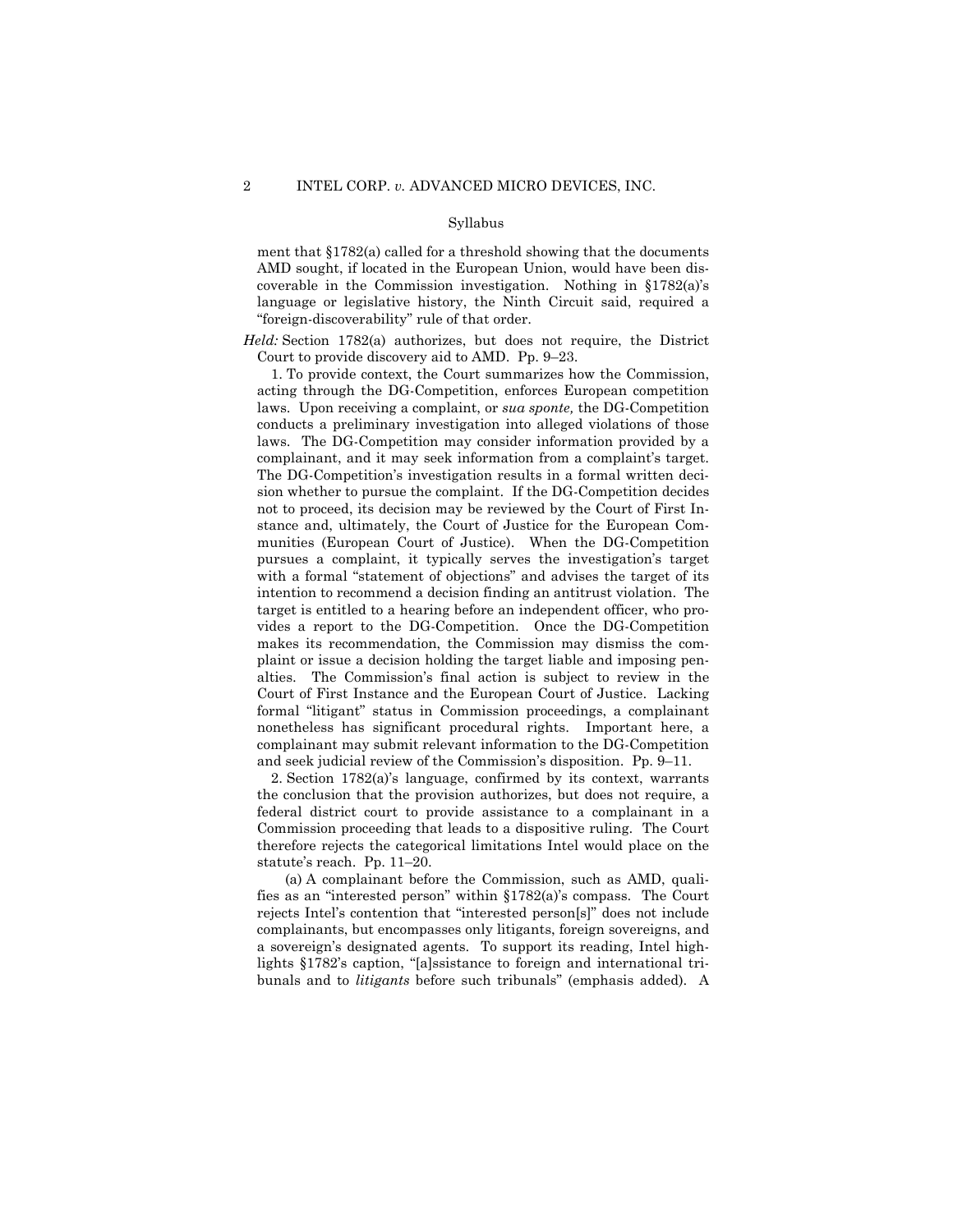ment that §1782(a) called for a threshold showing that the documents AMD sought, if located in the European Union, would have been discoverable in the Commission investigation. Nothing in §1782(a)'s language or legislative history, the Ninth Circuit said, required a "foreign-discoverability" rule of that order.

## *Held:* Section 1782(a) authorizes, but does not require, the District Court to provide discovery aid to AMD. Pp. 9–23.

1. To provide context, the Court summarizes how the Commission, acting through the DG-Competition, enforces European competition laws. Upon receiving a complaint, or *sua sponte,* the DG-Competition conducts a preliminary investigation into alleged violations of those laws. The DG-Competition may consider information provided by a complainant, and it may seek information from a complaint's target. The DG-Competition's investigation results in a formal written decision whether to pursue the complaint. If the DG-Competition decides not to proceed, its decision may be reviewed by the Court of First Instance and, ultimately, the Court of Justice for the European Communities (European Court of Justice). When the DG-Competition pursues a complaint, it typically serves the investigation's target with a formal "statement of objections" and advises the target of its intention to recommend a decision finding an antitrust violation. The target is entitled to a hearing before an independent officer, who provides a report to the DG-Competition. Once the DG-Competition makes its recommendation, the Commission may dismiss the complaint or issue a decision holding the target liable and imposing penalties. The Commission's final action is subject to review in the Court of First Instance and the European Court of Justice. Lacking formal "litigant" status in Commission proceedings, a complainant nonetheless has significant procedural rights. Important here, a complainant may submit relevant information to the DG-Competition and seek judicial review of the Commission's disposition. Pp. 9–11.

2. Section 1782(a)'s language, confirmed by its context, warrants the conclusion that the provision authorizes, but does not require, a federal district court to provide assistance to a complainant in a Commission proceeding that leads to a dispositive ruling. The Court therefore rejects the categorical limitations Intel would place on the statute's reach. Pp. 11–20.

(a) A complainant before the Commission, such as AMD, qualifies as an "interested person" within §1782(a)'s compass. The Court rejects Intel's contention that "interested person[s]" does not include complainants, but encompasses only litigants, foreign sovereigns, and a sovereign's designated agents. To support its reading, Intel highlights §1782's caption, "[a]ssistance to foreign and international tribunals and to *litigants* before such tribunals" (emphasis added). A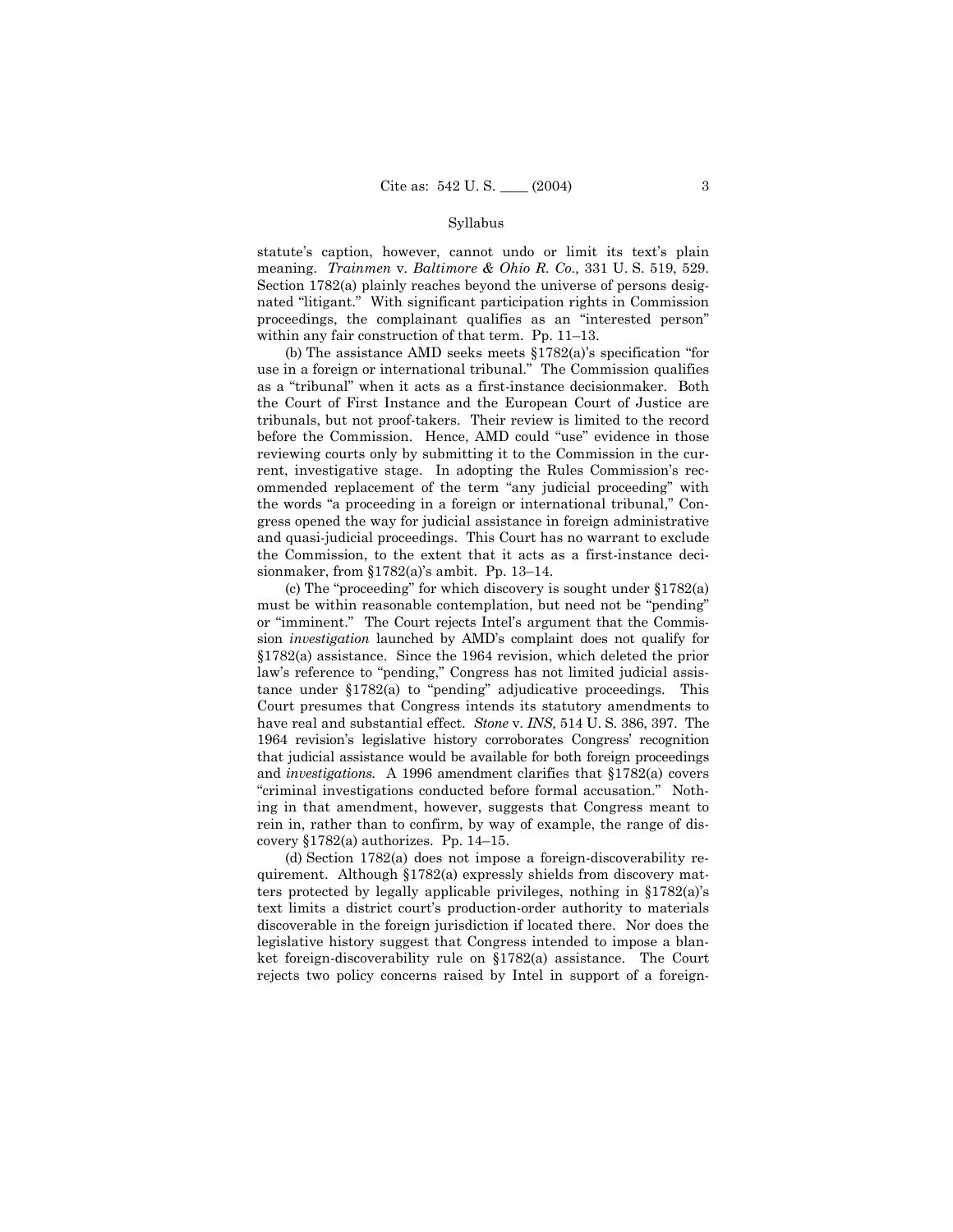statute's caption, however, cannot undo or limit its text's plain meaning. *Trainmen* v. *Baltimore & Ohio R. Co.,* 331 U. S. 519, 529. Section 1782(a) plainly reaches beyond the universe of persons designated "litigant." With significant participation rights in Commission proceedings, the complainant qualifies as an "interested person" within any fair construction of that term. Pp. 11–13.

(b) The assistance AMD seeks meets §1782(a)'s specification "for use in a foreign or international tribunal." The Commission qualifies as a "tribunal" when it acts as a first-instance decisionmaker. Both the Court of First Instance and the European Court of Justice are tribunals, but not proof-takers. Their review is limited to the record before the Commission. Hence, AMD could "use" evidence in those reviewing courts only by submitting it to the Commission in the current, investigative stage. In adopting the Rules Commission's recommended replacement of the term "any judicial proceeding" with the words "a proceeding in a foreign or international tribunal," Congress opened the way for judicial assistance in foreign administrative and quasi-judicial proceedings. This Court has no warrant to exclude the Commission, to the extent that it acts as a first-instance decisionmaker, from §1782(a)'s ambit. Pp. 13–14.

(c) The "proceeding" for which discovery is sought under §1782(a) must be within reasonable contemplation, but need not be "pending" or "imminent." The Court rejects Intel's argument that the Commission *investigation* launched by AMD's complaint does not qualify for §1782(a) assistance. Since the 1964 revision, which deleted the prior law's reference to "pending," Congress has not limited judicial assistance under §1782(a) to "pending" adjudicative proceedings. This Court presumes that Congress intends its statutory amendments to have real and substantial effect. *Stone* v. *INS,* 514 U. S. 386, 397. The 1964 revision's legislative history corroborates Congress' recognition that judicial assistance would be available for both foreign proceedings and *investigations.* A 1996 amendment clarifies that §1782(a) covers "criminal investigations conducted before formal accusation." Nothing in that amendment, however, suggests that Congress meant to rein in, rather than to confirm, by way of example, the range of discovery §1782(a) authorizes. Pp. 14–15.

(d) Section 1782(a) does not impose a foreign-discoverability requirement. Although §1782(a) expressly shields from discovery matters protected by legally applicable privileges, nothing in §1782(a)'s text limits a district court's production-order authority to materials discoverable in the foreign jurisdiction if located there. Nor does the legislative history suggest that Congress intended to impose a blanket foreign-discoverability rule on §1782(a) assistance. The Court rejects two policy concerns raised by Intel in support of a foreign-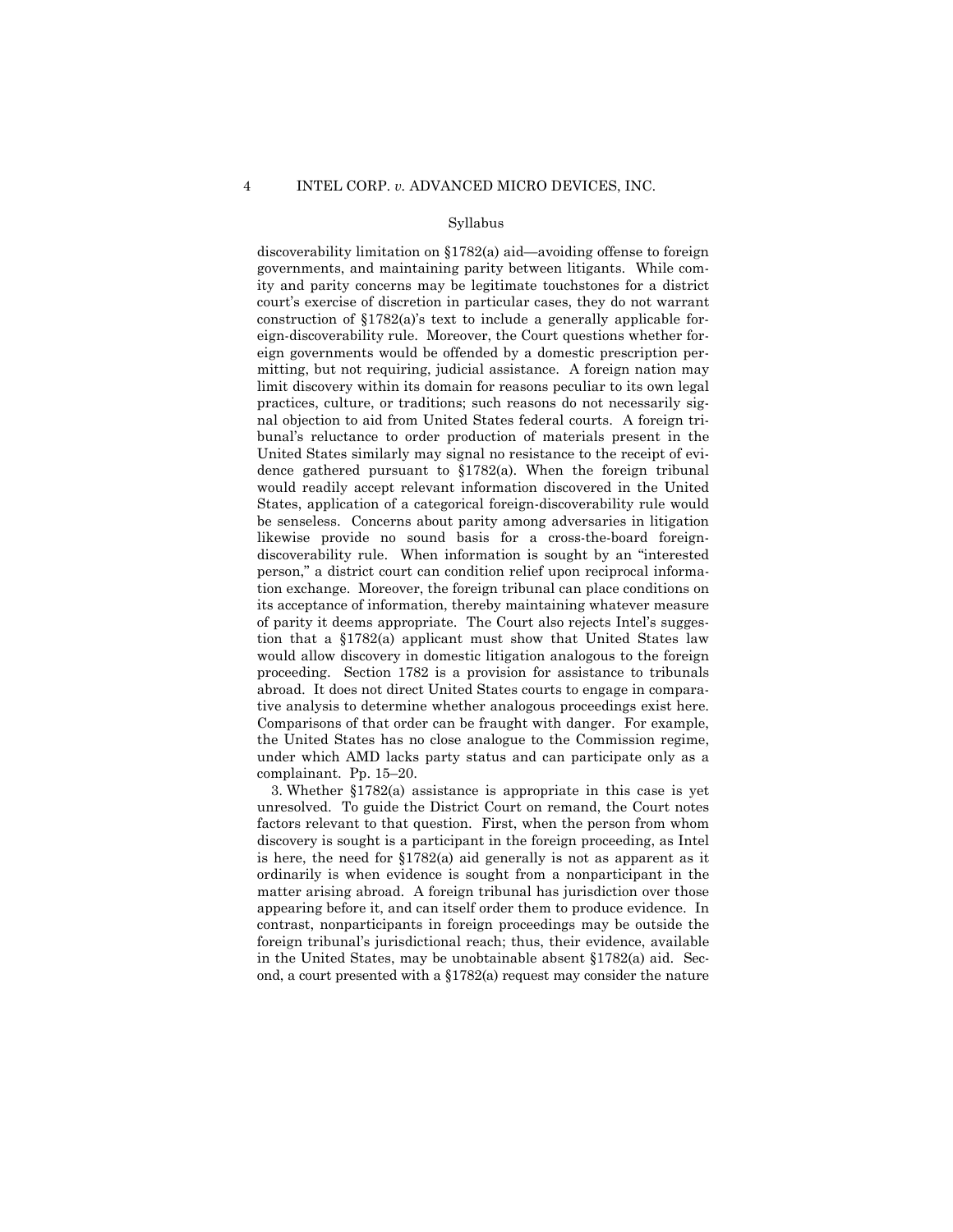discoverability limitation on §1782(a) aid—avoiding offense to foreign governments, and maintaining parity between litigants. While comity and parity concerns may be legitimate touchstones for a district court's exercise of discretion in particular cases, they do not warrant construction of §1782(a)'s text to include a generally applicable foreign-discoverability rule. Moreover, the Court questions whether foreign governments would be offended by a domestic prescription permitting, but not requiring, judicial assistance. A foreign nation may limit discovery within its domain for reasons peculiar to its own legal practices, culture, or traditions; such reasons do not necessarily signal objection to aid from United States federal courts. A foreign tribunal's reluctance to order production of materials present in the United States similarly may signal no resistance to the receipt of evidence gathered pursuant to §1782(a). When the foreign tribunal would readily accept relevant information discovered in the United States, application of a categorical foreign-discoverability rule would be senseless. Concerns about parity among adversaries in litigation likewise provide no sound basis for a cross-the-board foreigndiscoverability rule. When information is sought by an "interested person," a district court can condition relief upon reciprocal information exchange. Moreover, the foreign tribunal can place conditions on its acceptance of information, thereby maintaining whatever measure of parity it deems appropriate. The Court also rejects Intel's suggestion that a §1782(a) applicant must show that United States law would allow discovery in domestic litigation analogous to the foreign proceeding. Section 1782 is a provision for assistance to tribunals abroad. It does not direct United States courts to engage in comparative analysis to determine whether analogous proceedings exist here. Comparisons of that order can be fraught with danger. For example, the United States has no close analogue to the Commission regime, under which AMD lacks party status and can participate only as a complainant. Pp. 15–20.

3. Whether §1782(a) assistance is appropriate in this case is yet unresolved. To guide the District Court on remand, the Court notes factors relevant to that question. First, when the person from whom discovery is sought is a participant in the foreign proceeding, as Intel is here, the need for §1782(a) aid generally is not as apparent as it ordinarily is when evidence is sought from a nonparticipant in the matter arising abroad. A foreign tribunal has jurisdiction over those appearing before it, and can itself order them to produce evidence. In contrast, nonparticipants in foreign proceedings may be outside the foreign tribunal's jurisdictional reach; thus, their evidence, available in the United States, may be unobtainable absent §1782(a) aid. Second, a court presented with a §1782(a) request may consider the nature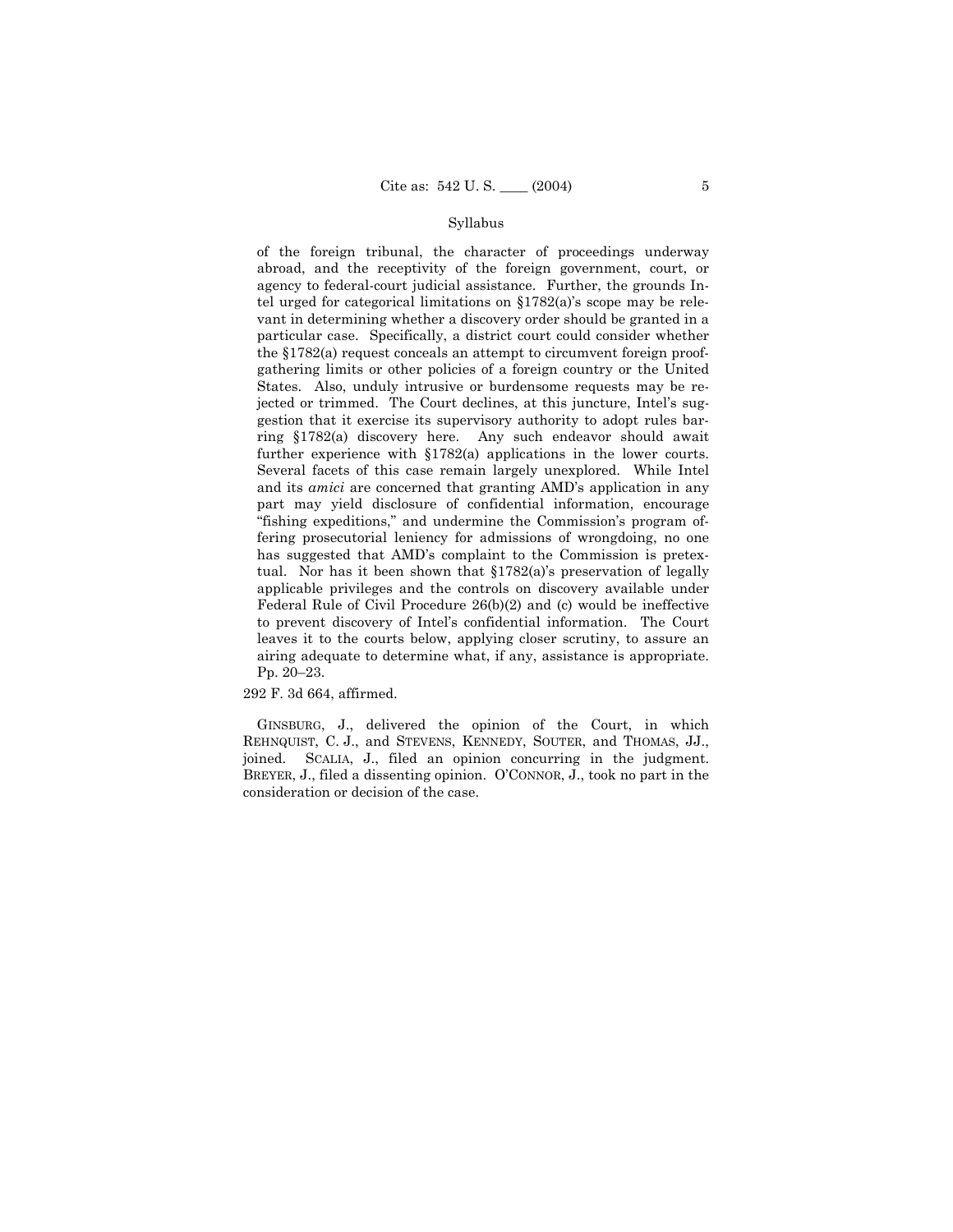of the foreign tribunal, the character of proceedings underway abroad, and the receptivity of the foreign government, court, or agency to federal-court judicial assistance. Further, the grounds Intel urged for categorical limitations on  $\S 1782(a)$ 's scope may be relevant in determining whether a discovery order should be granted in a particular case. Specifically, a district court could consider whether the §1782(a) request conceals an attempt to circumvent foreign proofgathering limits or other policies of a foreign country or the United States. Also, unduly intrusive or burdensome requests may be rejected or trimmed. The Court declines, at this juncture, Intel's suggestion that it exercise its supervisory authority to adopt rules barring §1782(a) discovery here. Any such endeavor should await further experience with §1782(a) applications in the lower courts. Several facets of this case remain largely unexplored. While Intel and its *amici* are concerned that granting AMD's application in any part may yield disclosure of confidential information, encourage "fishing expeditions," and undermine the Commission's program offering prosecutorial leniency for admissions of wrongdoing, no one has suggested that AMD's complaint to the Commission is pretextual. Nor has it been shown that §1782(a)'s preservation of legally applicable privileges and the controls on discovery available under Federal Rule of Civil Procedure 26(b)(2) and (c) would be ineffective to prevent discovery of Intel's confidential information. The Court leaves it to the courts below, applying closer scrutiny, to assure an airing adequate to determine what, if any, assistance is appropriate. Pp. 20–23.

#### 292 F. 3d 664, affirmed.

GINSBURG, J., delivered the opinion of the Court, in which REHNQUIST, C. J., and STEVENS, KENNEDY, SOUTER, and THOMAS, JJ., joined. SCALIA, J., filed an opinion concurring in the judgment. BREYER, J., filed a dissenting opinion. O'CONNOR, J., took no part in the consideration or decision of the case.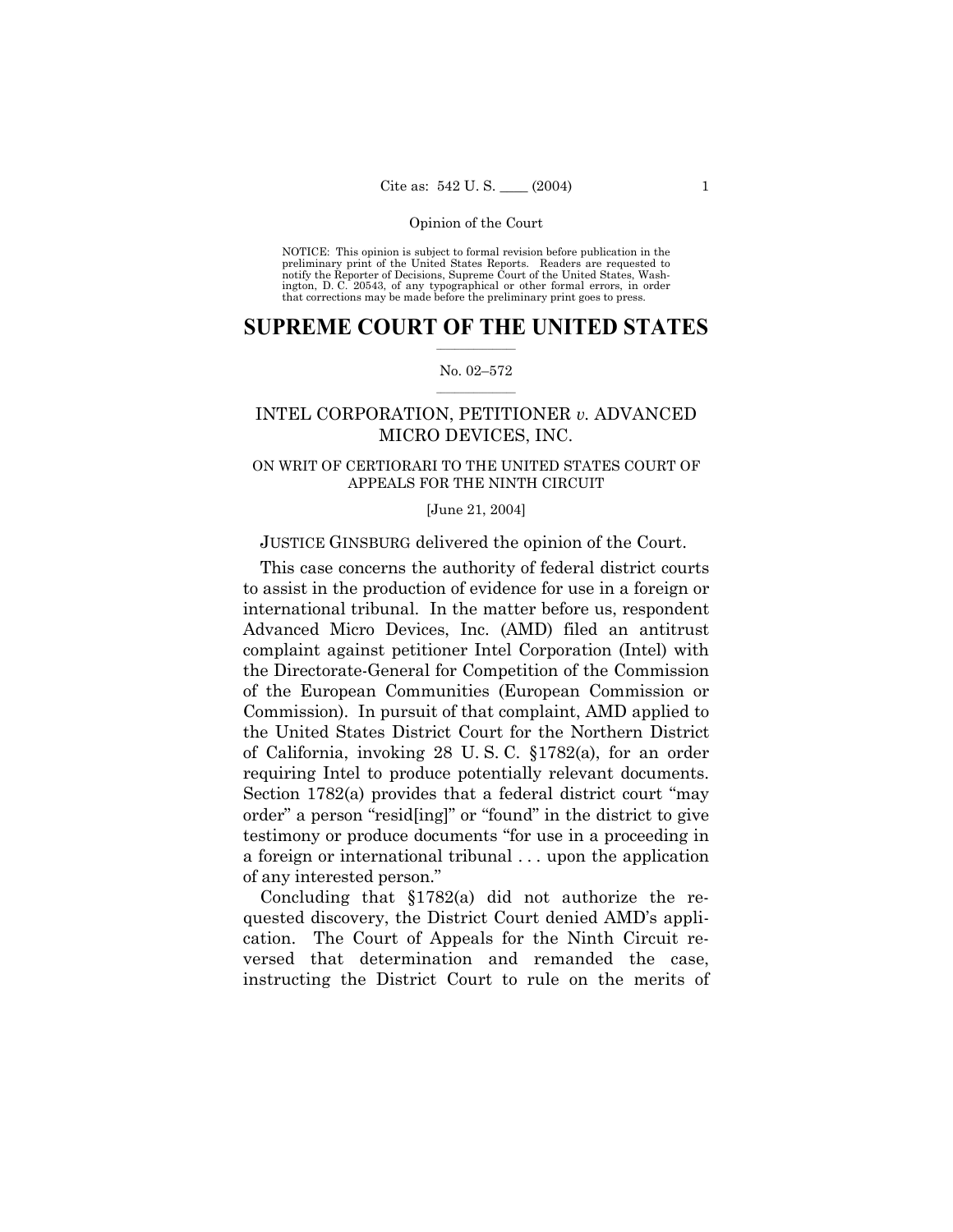NOTICE: This opinion is subject to formal revision before publication in the preliminary print of the United States Reports. Readers are requested to notify the Reporter of Decisions, Supreme Court of the United States, Wa ington, D. C. 20543, of any typographical or other formal errors, in order that corrections may be made before the preliminary print goes to press.

## **SUPREME COURT OF THE UNITED STATES**  $\frac{1}{2}$  ,  $\frac{1}{2}$  ,  $\frac{1}{2}$  ,  $\frac{1}{2}$  ,  $\frac{1}{2}$  ,  $\frac{1}{2}$

### No. 02–572  $\frac{1}{2}$  ,  $\frac{1}{2}$  ,  $\frac{1}{2}$  ,  $\frac{1}{2}$  ,  $\frac{1}{2}$  ,  $\frac{1}{2}$  ,  $\frac{1}{2}$

# INTEL CORPORATION, PETITIONER *v.* ADVANCED MICRO DEVICES, INC.

## ON WRIT OF CERTIORARI TO THE UNITED STATES COURT OF APPEALS FOR THE NINTH CIRCUIT

### [June 21, 2004]

## JUSTICE GINSBURG delivered the opinion of the Court.

This case concerns the authority of federal district courts to assist in the production of evidence for use in a foreign or international tribunal. In the matter before us, respondent Advanced Micro Devices, Inc. (AMD) filed an antitrust complaint against petitioner Intel Corporation (Intel) with the Directorate-General for Competition of the Commission of the European Communities (European Commission or Commission). In pursuit of that complaint, AMD applied to the United States District Court for the Northern District of California, invoking 28 U. S. C. §1782(a), for an order requiring Intel to produce potentially relevant documents. Section 1782(a) provides that a federal district court "may order" a person "resid[ing]" or "found" in the district to give testimony or produce documents "for use in a proceeding in a foreign or international tribunal . . . upon the application of any interested person."

Concluding that §1782(a) did not authorize the requested discovery, the District Court denied AMD's application. The Court of Appeals for the Ninth Circuit reversed that determination and remanded the case, instructing the District Court to rule on the merits of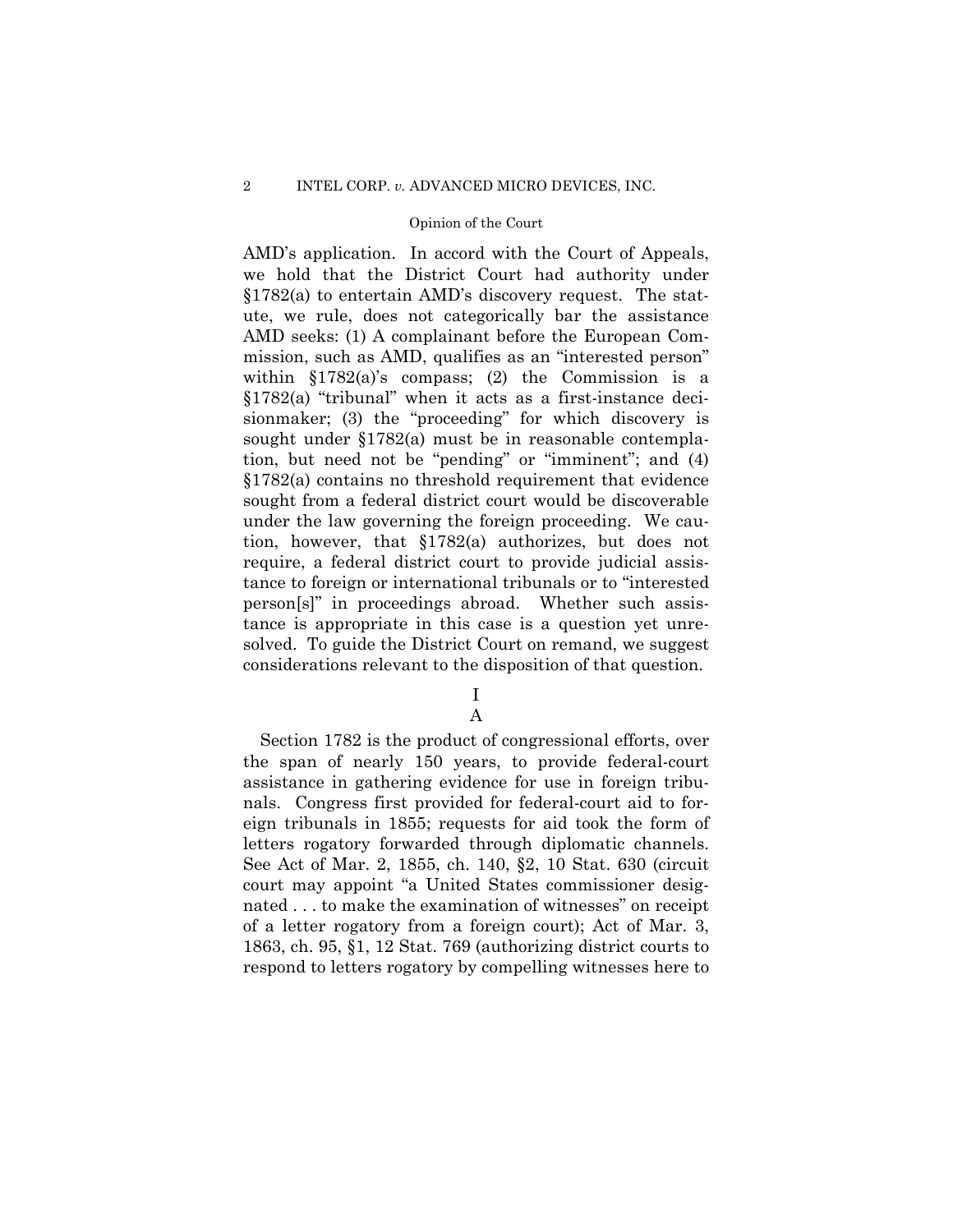AMD's application. In accord with the Court of Appeals, we hold that the District Court had authority under §1782(a) to entertain AMD's discovery request. The statute, we rule, does not categorically bar the assistance AMD seeks: (1) A complainant before the European Commission, such as AMD, qualifies as an "interested person" within  $$1782(a)$ 's compass; (2) the Commission is a §1782(a) "tribunal" when it acts as a first-instance decisionmaker; (3) the "proceeding" for which discovery is sought under §1782(a) must be in reasonable contemplation, but need not be "pending" or "imminent"; and (4) §1782(a) contains no threshold requirement that evidence sought from a federal district court would be discoverable under the law governing the foreign proceeding. We caution, however, that §1782(a) authorizes, but does not require, a federal district court to provide judicial assistance to foreign or international tribunals or to "interested person[s]" in proceedings abroad. Whether such assistance is appropriate in this case is a question yet unresolved. To guide the District Court on remand, we suggest considerations relevant to the disposition of that question.

## I A

Section 1782 is the product of congressional efforts, over the span of nearly 150 years, to provide federal-court assistance in gathering evidence for use in foreign tribunals. Congress first provided for federal-court aid to foreign tribunals in 1855; requests for aid took the form of letters rogatory forwarded through diplomatic channels. See Act of Mar. 2, 1855, ch. 140, §2, 10 Stat. 630 (circuit court may appoint "a United States commissioner designated . . . to make the examination of witnesses" on receipt of a letter rogatory from a foreign court); Act of Mar. 3, 1863, ch. 95, §1, 12 Stat. 769 (authorizing district courts to respond to letters rogatory by compelling witnesses here to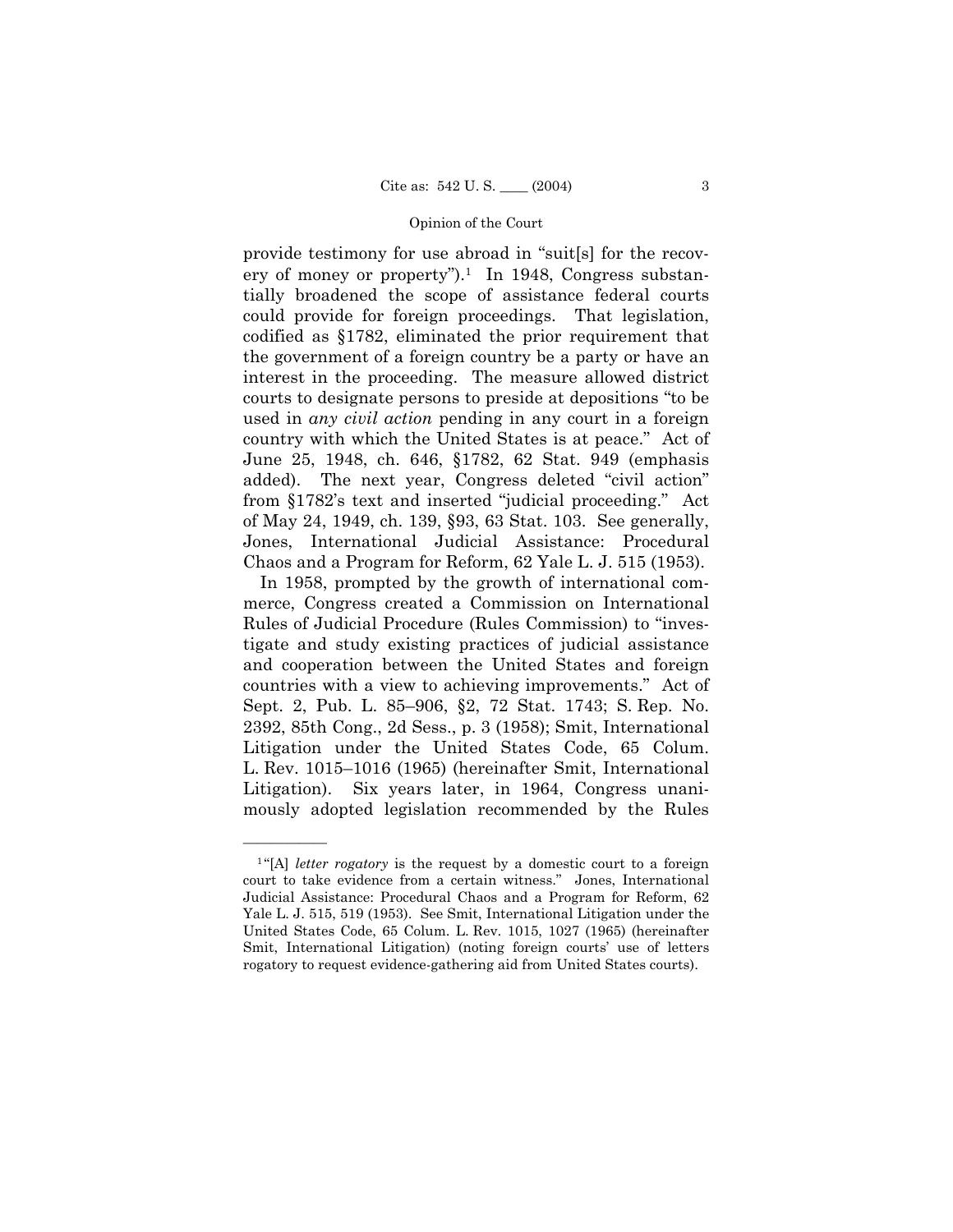provide testimony for use abroad in "suit[s] for the recovery of money or property").<sup>1</sup> In 1948, Congress substantially broadened the scope of assistance federal courts could provide for foreign proceedings. That legislation, codified as §1782, eliminated the prior requirement that the government of a foreign country be a party or have an interest in the proceeding. The measure allowed district courts to designate persons to preside at depositions "to be used in *any civil action* pending in any court in a foreign country with which the United States is at peace." Act of June 25, 1948, ch. 646, §1782, 62 Stat. 949 (emphasis added). The next year, Congress deleted "civil action" from §1782's text and inserted "judicial proceeding." Act of May 24, 1949, ch. 139, §93, 63 Stat. 103. See generally, Jones, International Judicial Assistance: Procedural Chaos and a Program for Reform, 62 Yale L. J. 515 (1953).

In 1958, prompted by the growth of international commerce, Congress created a Commission on International Rules of Judicial Procedure (Rules Commission) to "investigate and study existing practices of judicial assistance and cooperation between the United States and foreign countries with a view to achieving improvements." Act of Sept. 2, Pub. L. 85–906, §2, 72 Stat. 1743; S. Rep. No. 2392, 85th Cong., 2d Sess., p. 3 (1958); Smit, International Litigation under the United States Code, 65 Colum. L. Rev. 1015–1016 (1965) (hereinafter Smit, International Litigation). Six years later, in 1964, Congress unanimously adopted legislation recommended by the Rules

<sup>&</sup>lt;sup>1</sup>"[A] *letter rogatory* is the request by a domestic court to a foreign court to take evidence from a certain witness." Jones, International Judicial Assistance: Procedural Chaos and a Program for Reform, 62 Yale L. J. 515, 519 (1953). See Smit, International Litigation under the United States Code, 65 Colum. L. Rev. 1015, 1027 (1965) (hereinafter Smit, International Litigation) (noting foreign courts' use of letters rogatory to request evidence-gathering aid from United States courts).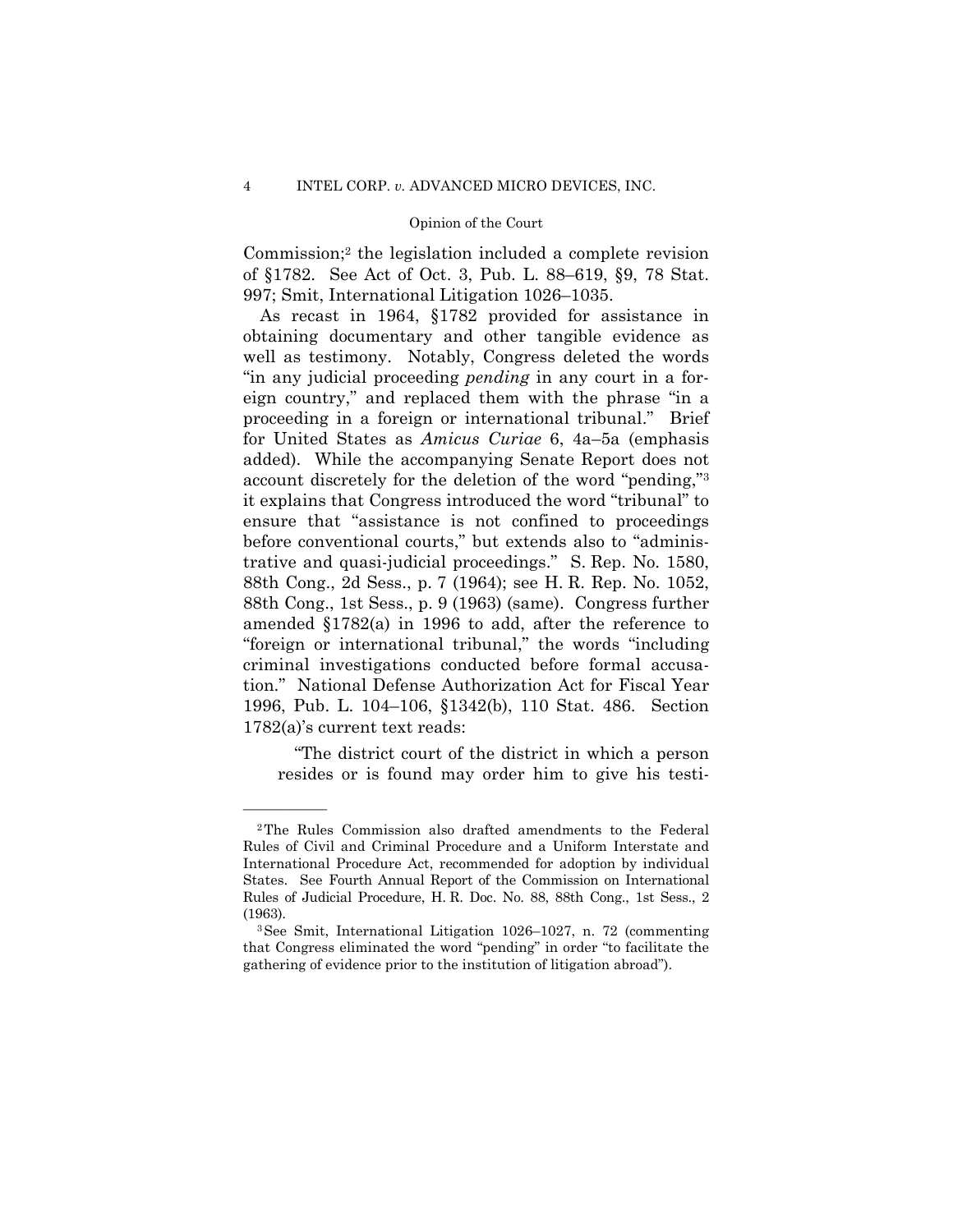Commission;2 the legislation included a complete revision of §1782. See Act of Oct. 3, Pub. L. 88–619, §9, 78 Stat. 997; Smit, International Litigation 1026–1035.

As recast in 1964, §1782 provided for assistance in obtaining documentary and other tangible evidence as well as testimony. Notably, Congress deleted the words "in any judicial proceeding *pending* in any court in a foreign country," and replaced them with the phrase "in a proceeding in a foreign or international tribunal." Brief for United States as *Amicus Curiae* 6, 4a–5a (emphasis added). While the accompanying Senate Report does not account discretely for the deletion of the word "pending,"3 it explains that Congress introduced the word "tribunal" to ensure that "assistance is not confined to proceedings before conventional courts," but extends also to "administrative and quasi-judicial proceedings." S. Rep. No. 1580, 88th Cong., 2d Sess., p. 7 (1964); see H. R. Rep. No. 1052, 88th Cong., 1st Sess., p. 9 (1963) (same). Congress further amended §1782(a) in 1996 to add, after the reference to "foreign or international tribunal," the words "including criminal investigations conducted before formal accusation." National Defense Authorization Act for Fiscal Year 1996, Pub. L. 104–106, §1342(b), 110 Stat. 486. Section 1782(a)'s current text reads:

"The district court of the district in which a person resides or is found may order him to give his testi-

<sup>2</sup>The Rules Commission also drafted amendments to the Federal Rules of Civil and Criminal Procedure and a Uniform Interstate and International Procedure Act, recommended for adoption by individual States. See Fourth Annual Report of the Commission on International Rules of Judicial Procedure, H. R. Doc. No. 88, 88th Cong., 1st Sess., 2

<sup>(1963). 3</sup>See Smit, International Litigation 1026–1027, n. 72 (commenting that Congress eliminated the word "pending" in order "to facilitate the gathering of evidence prior to the institution of litigation abroad").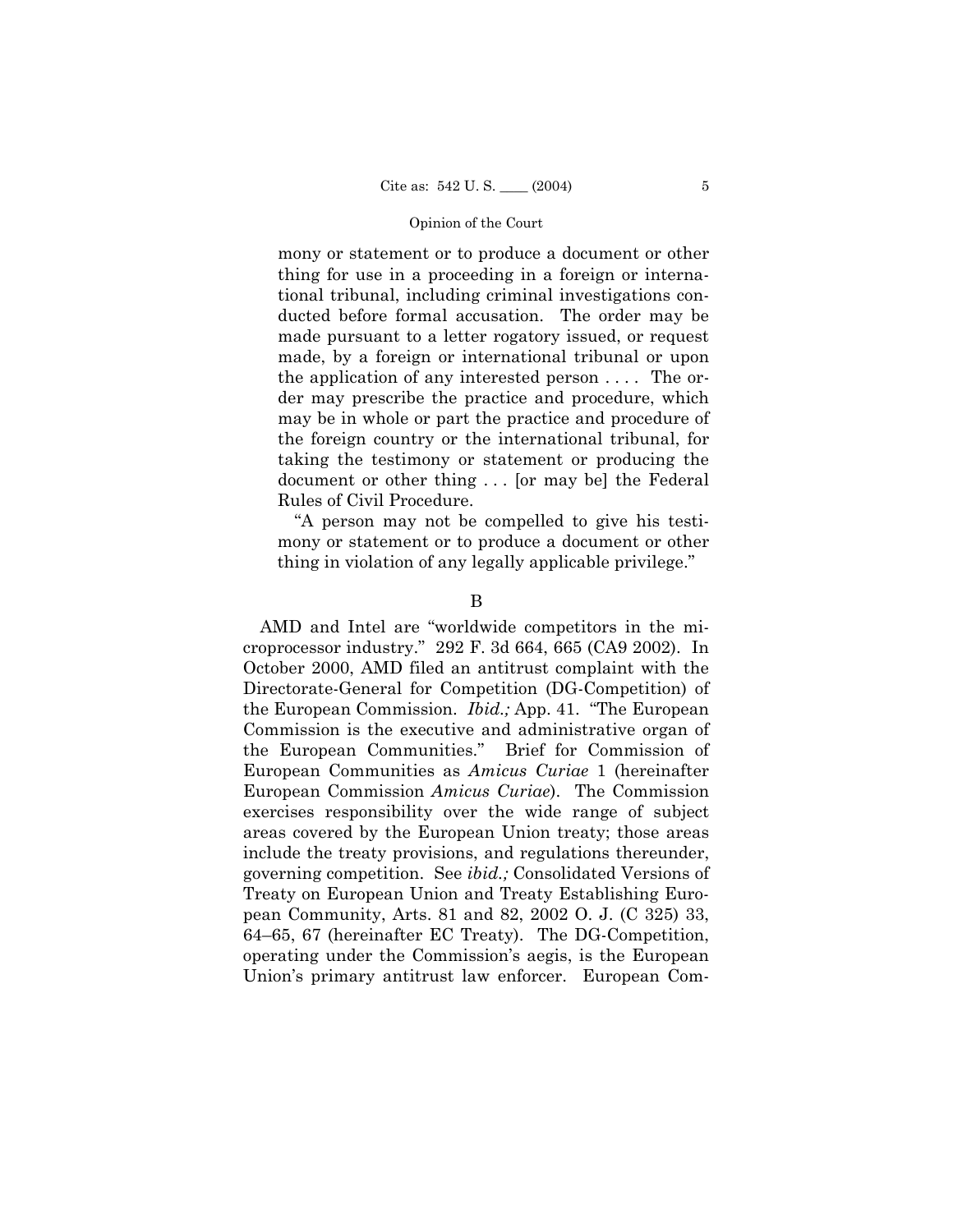mony or statement or to produce a document or other thing for use in a proceeding in a foreign or international tribunal, including criminal investigations conducted before formal accusation. The order may be made pursuant to a letter rogatory issued, or request made, by a foreign or international tribunal or upon the application of any interested person  $\dots$ . The order may prescribe the practice and procedure, which may be in whole or part the practice and procedure of the foreign country or the international tribunal, for taking the testimony or statement or producing the document or other thing . . . [or may be] the Federal Rules of Civil Procedure.

"A person may not be compelled to give his testimony or statement or to produce a document or other thing in violation of any legally applicable privilege."

B

AMD and Intel are "worldwide competitors in the microprocessor industry." 292 F. 3d 664, 665 (CA9 2002). In October 2000, AMD filed an antitrust complaint with the Directorate-General for Competition (DG-Competition) of the European Commission. *Ibid.;* App. 41. "The European Commission is the executive and administrative organ of the European Communities." Brief for Commission of European Communities as *Amicus Curiae* 1 (hereinafter European Commission *Amicus Curiae*). The Commission exercises responsibility over the wide range of subject areas covered by the European Union treaty; those areas include the treaty provisions, and regulations thereunder, governing competition. See *ibid.;* Consolidated Versions of Treaty on European Union and Treaty Establishing European Community, Arts. 81 and 82, 2002 O. J. (C 325) 33, 64–65, 67 (hereinafter EC Treaty). The DG-Competition, operating under the Commission's aegis, is the European Union's primary antitrust law enforcer. European Com-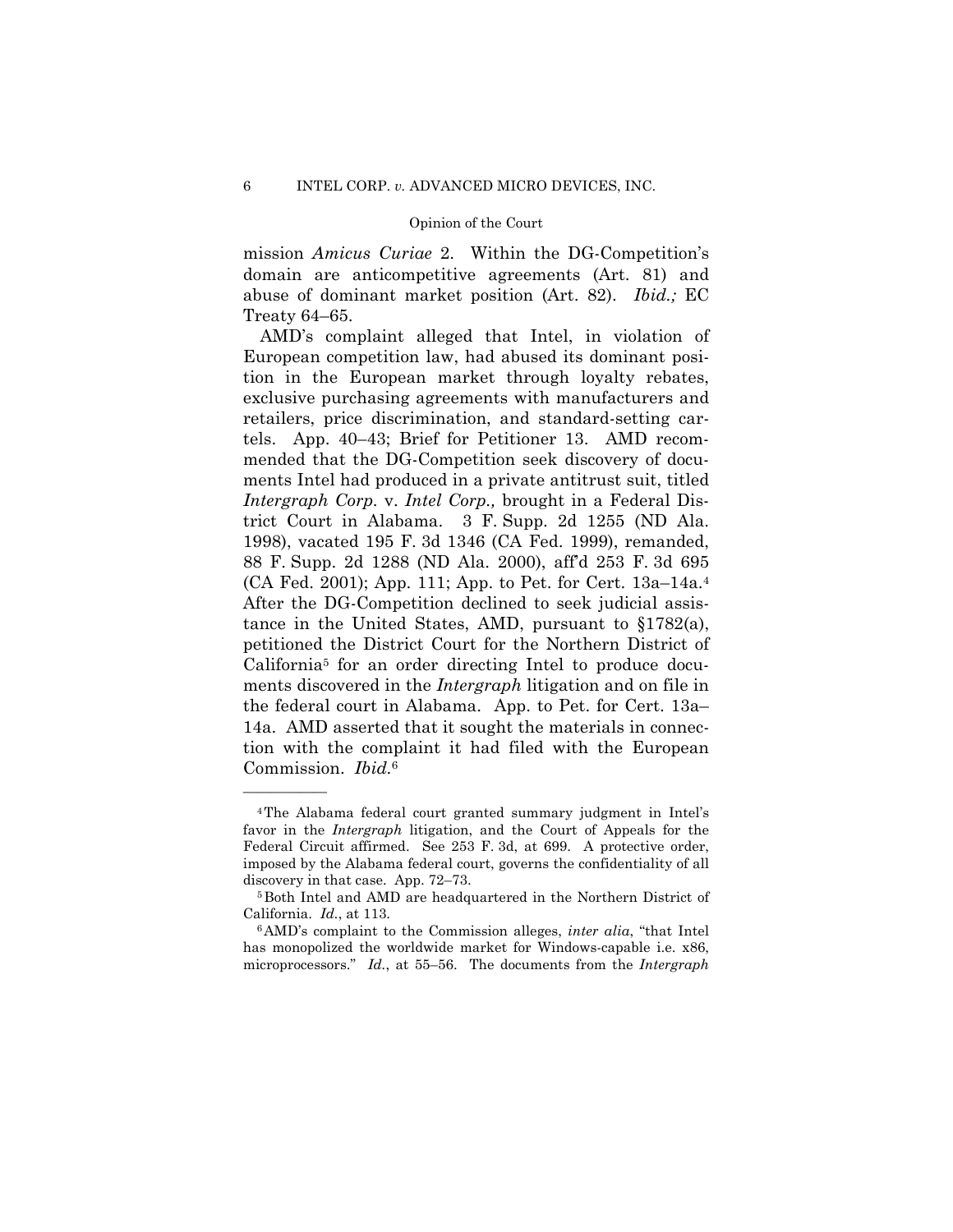mission *Amicus Curiae* 2. Within the DG-Competition's domain are anticompetitive agreements (Art. 81) and abuse of dominant market position (Art. 82). *Ibid.;* EC Treaty 64–65.

AMD's complaint alleged that Intel, in violation of European competition law, had abused its dominant position in the European market through loyalty rebates, exclusive purchasing agreements with manufacturers and retailers, price discrimination, and standard-setting cartels. App. 40–43; Brief for Petitioner 13. AMD recommended that the DG-Competition seek discovery of documents Intel had produced in a private antitrust suit, titled *Intergraph Corp.* v. *Intel Corp.,* brought in a Federal District Court in Alabama. 3 F. Supp. 2d 1255 (ND Ala. 1998), vacated 195 F. 3d 1346 (CA Fed. 1999), remanded, 88 F. Supp. 2d 1288 (ND Ala. 2000), aff'd 253 F. 3d 695 (CA Fed. 2001); App. 111; App. to Pet. for Cert. 13a–14a.4 After the DG-Competition declined to seek judicial assistance in the United States, AMD, pursuant to §1782(a), petitioned the District Court for the Northern District of California5 for an order directing Intel to produce documents discovered in the *Intergraph* litigation and on file in the federal court in Alabama. App. to Pet. for Cert. 13a– 14a. AMD asserted that it sought the materials in connection with the complaint it had filed with the European Commission. *Ibid.*<sup>6</sup>

<sup>4</sup>The Alabama federal court granted summary judgment in Intel's favor in the *Intergraph* litigation, and the Court of Appeals for the Federal Circuit affirmed. See 253 F. 3d, at 699. A protective order, imposed by the Alabama federal court, governs the confidentiality of all discovery in that case. App. 72–73.<br><sup>5</sup>Both Intel and AMD are headquartered in the Northern District of

California. *Id.*, at 113.<br><sup>6</sup>AMD's complaint to the Commission alleges, *inter alia*, "that Intel

has monopolized the worldwide market for Windows-capable i.e. x86, microprocessors." *Id.*, at 55–56. The documents from the *Intergraph*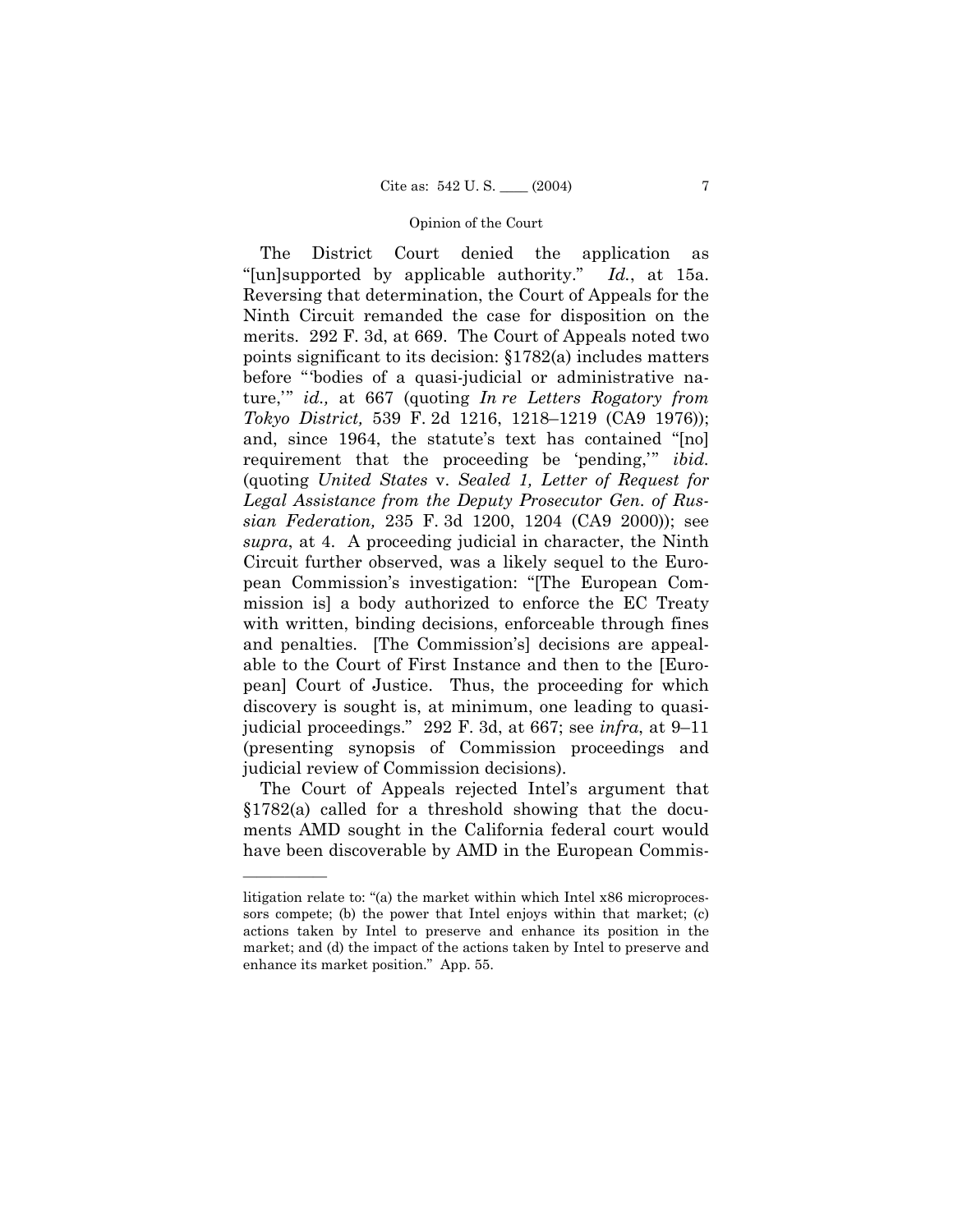The District Court denied the application as "[un]supported by applicable authority." *Id.*, at 15a. Reversing that determination, the Court of Appeals for the Ninth Circuit remanded the case for disposition on the merits. 292 F. 3d, at 669. The Court of Appeals noted two points significant to its decision: §1782(a) includes matters before "'bodies of a quasi-judicial or administrative nature,'" *id.,* at 667 (quoting *In re Letters Rogatory from Tokyo District,* 539 F. 2d 1216, 1218–1219 (CA9 1976)); and, since 1964, the statute's text has contained "[no] requirement that the proceeding be 'pending,'" *ibid.*  (quoting *United States* v. *Sealed 1, Letter of Request for Legal Assistance from the Deputy Prosecutor Gen. of Russian Federation,* 235 F. 3d 1200, 1204 (CA9 2000)); see *supra*, at 4. A proceeding judicial in character, the Ninth Circuit further observed, was a likely sequel to the European Commission's investigation: "[The European Commission is] a body authorized to enforce the EC Treaty with written, binding decisions, enforceable through fines and penalties. [The Commission's] decisions are appealable to the Court of First Instance and then to the [European] Court of Justice. Thus, the proceeding for which discovery is sought is, at minimum, one leading to quasijudicial proceedings." 292 F. 3d, at 667; see *infra*, at 9–11 (presenting synopsis of Commission proceedings and judicial review of Commission decisions).

The Court of Appeals rejected Intel's argument that §1782(a) called for a threshold showing that the documents AMD sought in the California federal court would have been discoverable by AMD in the European Commis-

litigation relate to: "(a) the market within which Intel x86 microprocessors compete; (b) the power that Intel enjoys within that market; (c) actions taken by Intel to preserve and enhance its position in the market; and (d) the impact of the actions taken by Intel to preserve and enhance its market position." App. 55.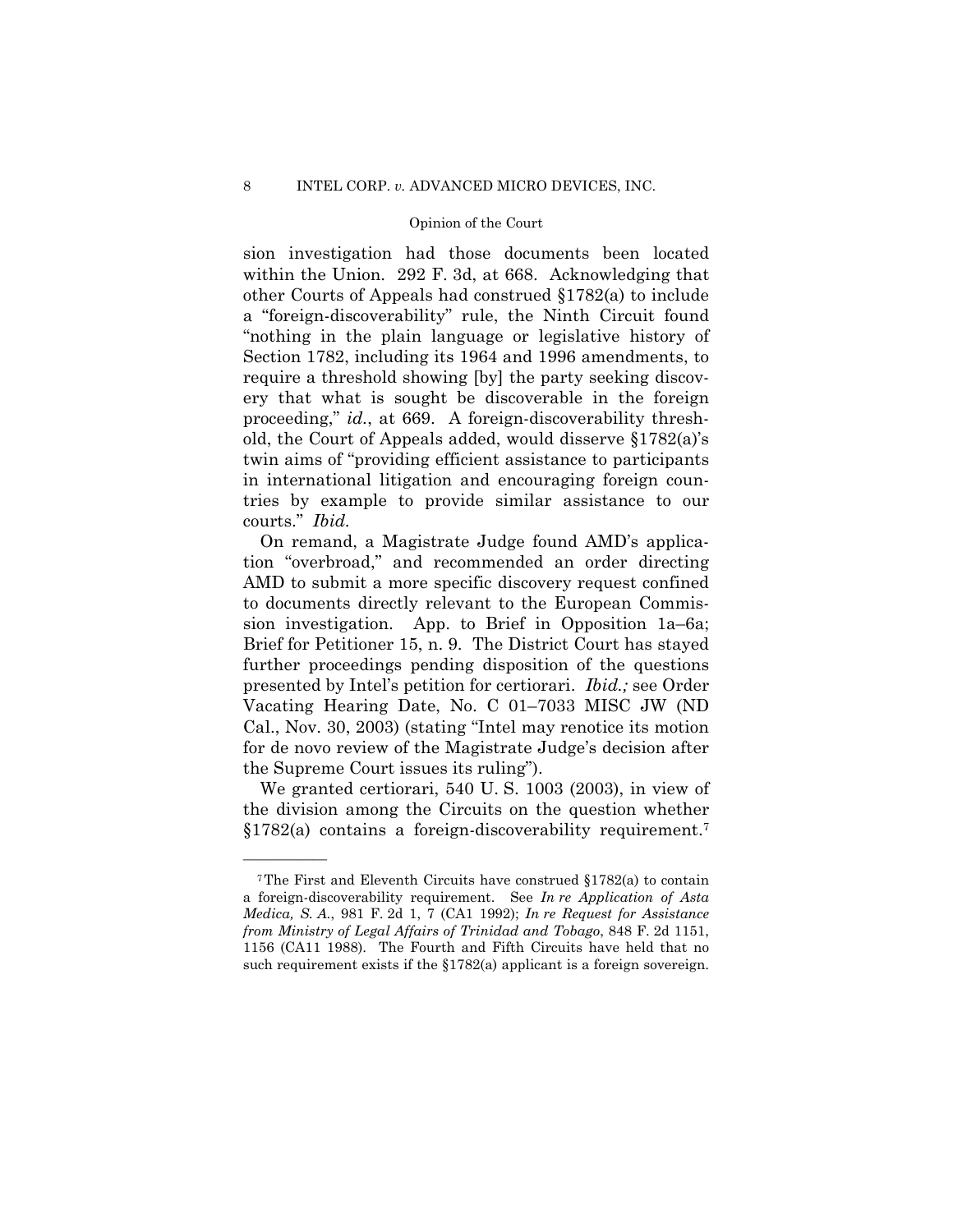sion investigation had those documents been located within the Union. 292 F. 3d, at 668. Acknowledging that other Courts of Appeals had construed §1782(a) to include a "foreign-discoverability" rule, the Ninth Circuit found "nothing in the plain language or legislative history of Section 1782, including its 1964 and 1996 amendments, to require a threshold showing [by] the party seeking discovery that what is sought be discoverable in the foreign proceeding," *id.*, at 669. A foreign-discoverability threshold, the Court of Appeals added, would disserve §1782(a)'s twin aims of "providing efficient assistance to participants in international litigation and encouraging foreign countries by example to provide similar assistance to our courts." *Ibid.* 

On remand, a Magistrate Judge found AMD's application "overbroad," and recommended an order directing AMD to submit a more specific discovery request confined to documents directly relevant to the European Commission investigation. App. to Brief in Opposition 1a–6a; Brief for Petitioner 15, n. 9. The District Court has stayed further proceedings pending disposition of the questions presented by Intel's petition for certiorari. *Ibid.;* see Order Vacating Hearing Date, No. C 01–7033 MISC JW (ND Cal., Nov. 30, 2003) (stating "Intel may renotice its motion for de novo review of the Magistrate Judge's decision after the Supreme Court issues its ruling").

We granted certiorari, 540 U. S. 1003 (2003), in view of the division among the Circuits on the question whether §1782(a) contains a foreign-discoverability requirement.7

<sup>&</sup>lt;sup>7</sup>The First and Eleventh Circuits have construed  $$1782(a)$  to contain a foreign-discoverability requirement. See *In re Application of Asta Medica, S. A.*, 981 F. 2d 1, 7 (CA1 1992); *In re Request for Assistance from Ministry of Legal Affairs of Trinidad and Tobago*, 848 F. 2d 1151, 1156 (CA11 1988). The Fourth and Fifth Circuits have held that no such requirement exists if the §1782(a) applicant is a foreign sovereign.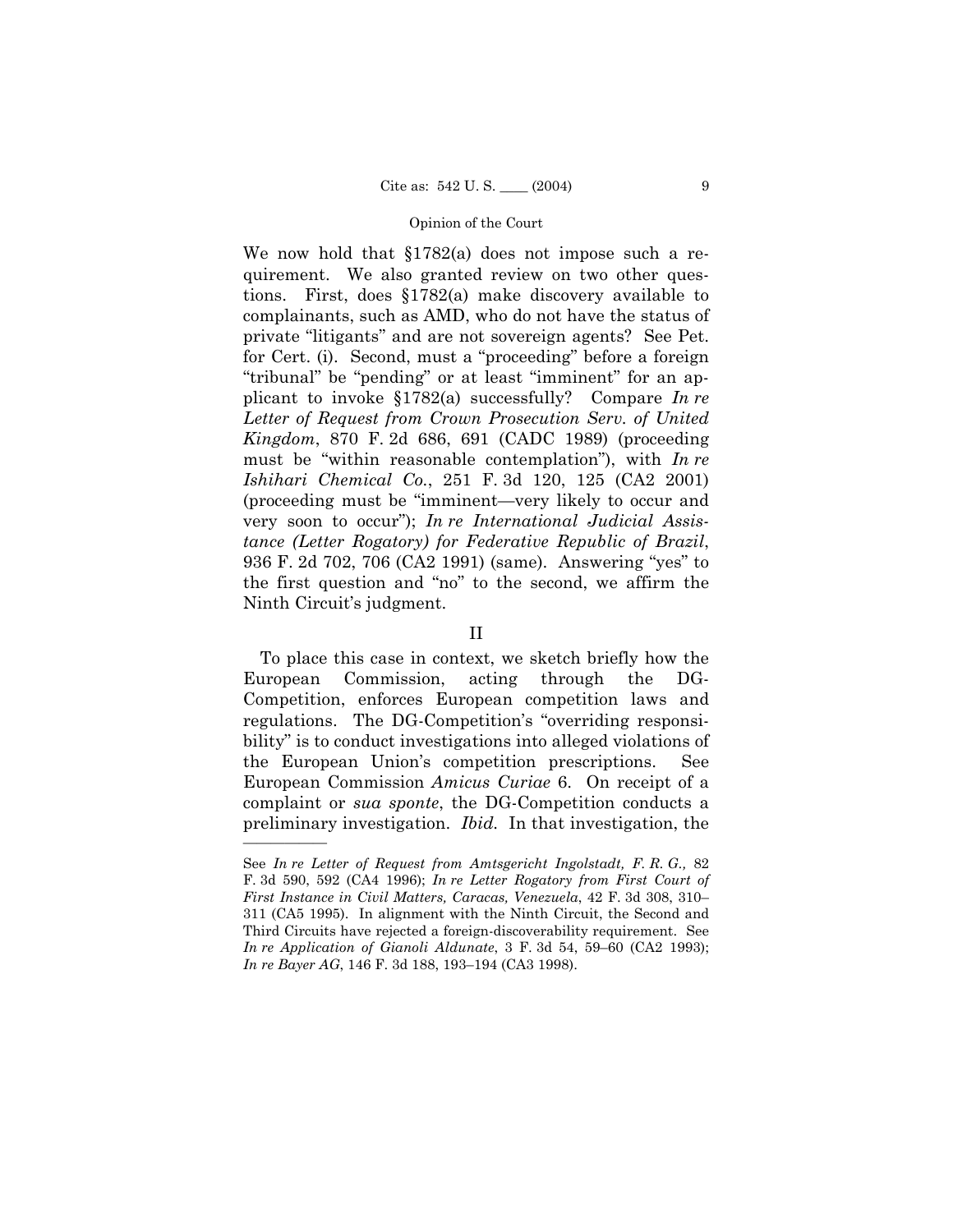We now hold that §1782(a) does not impose such a requirement. We also granted review on two other questions. First, does §1782(a) make discovery available to complainants, such as AMD, who do not have the status of private "litigants" and are not sovereign agents? See Pet. for Cert. (i). Second, must a "proceeding" before a foreign "tribunal" be "pending" or at least "imminent" for an applicant to invoke §1782(a) successfully? Compare *In re Letter of Request from Crown Prosecution Serv. of United Kingdom*, 870 F. 2d 686, 691 (CADC 1989) (proceeding must be "within reasonable contemplation"), with *In re Ishihari Chemical Co.*, 251 F. 3d 120, 125 (CA2 2001) (proceeding must be "imminent—very likely to occur and very soon to occur"); *In re International Judicial Assistance (Letter Rogatory) for Federative Republic of Brazil*, 936 F. 2d 702, 706 (CA2 1991) (same). Answering "yes" to the first question and "no" to the second, we affirm the Ninth Circuit's judgment.

# II

To place this case in context, we sketch briefly how the European Commission, acting through the DG-Competition, enforces European competition laws and regulations. The DG-Competition's "overriding responsibility" is to conduct investigations into alleged violations of the European Union's competition prescriptions. See European Commission *Amicus Curiae* 6. On receipt of a complaint or *sua sponte*, the DG-Competition conducts a preliminary investigation. *Ibid.* In that investigation, the

See *In re Letter of Request from Amtsgericht Ingolstadt, F. R. G.,* 82 F. 3d 590, 592 (CA4 1996); *In re Letter Rogatory from First Court of First Instance in Civil Matters, Caracas, Venezuela*, 42 F. 3d 308, 310– 311 (CA5 1995). In alignment with the Ninth Circuit, the Second and Third Circuits have rejected a foreign-discoverability requirement. See *In re Application of Gianoli Aldunate*, 3 F. 3d 54, 59–60 (CA2 1993); *In re Bayer AG*, 146 F. 3d 188, 193–194 (CA3 1998).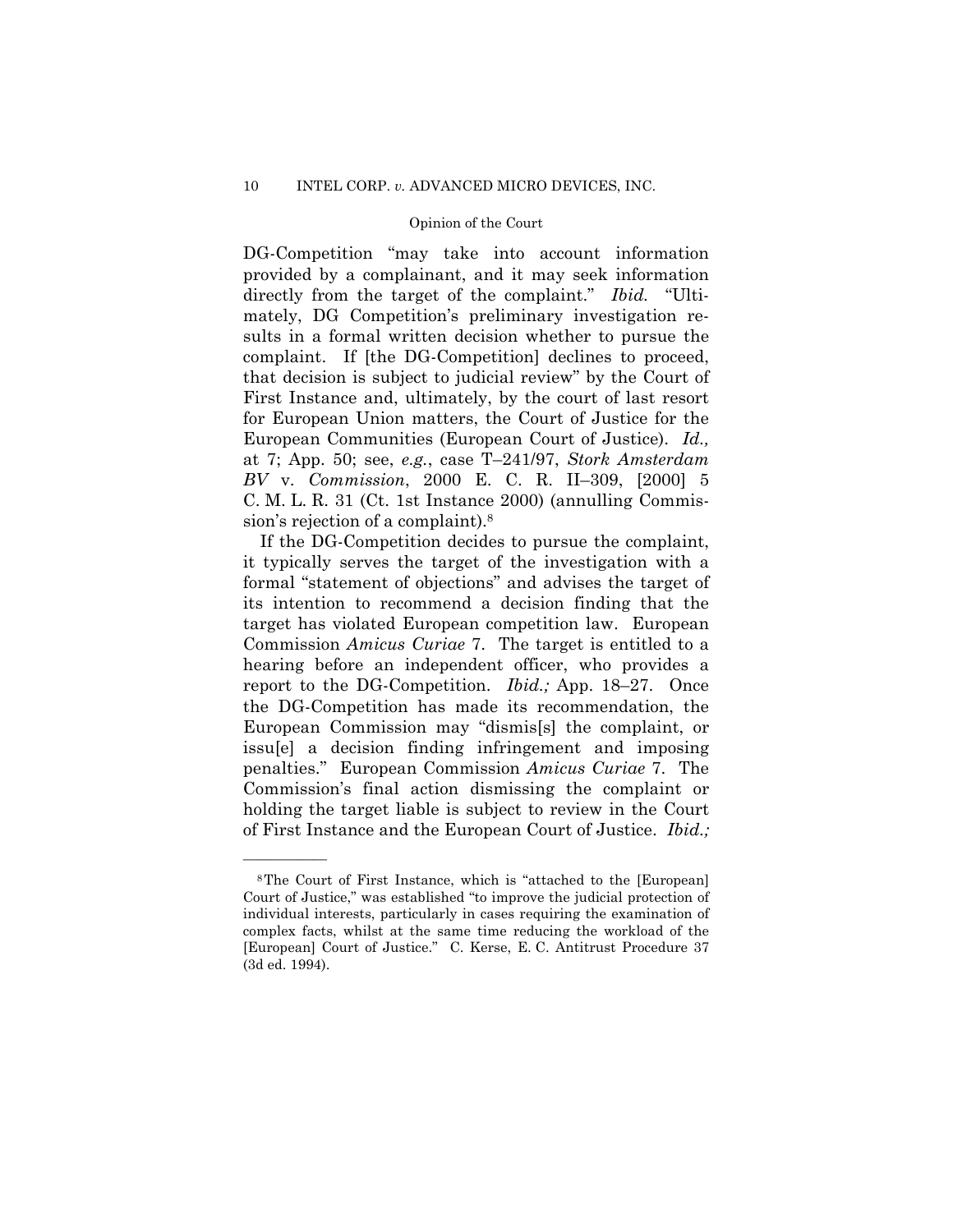DG-Competition "may take into account information provided by a complainant, and it may seek information directly from the target of the complaint." *Ibid.* "Ultimately, DG Competition's preliminary investigation results in a formal written decision whether to pursue the complaint. If [the DG-Competition] declines to proceed, that decision is subject to judicial review" by the Court of First Instance and, ultimately, by the court of last resort for European Union matters, the Court of Justice for the European Communities (European Court of Justice). *Id.,*  at 7; App. 50; see, *e.g.*, case T–241/97, *Stork Amsterdam BV* v. *Commission*, 2000 E. C. R. II–309, [2000] 5 C. M. L. R. 31 (Ct. 1st Instance 2000) (annulling Commission's rejection of a complaint).8

If the DG-Competition decides to pursue the complaint, it typically serves the target of the investigation with a formal "statement of objections" and advises the target of its intention to recommend a decision finding that the target has violated European competition law. European Commission *Amicus Curiae* 7. The target is entitled to a hearing before an independent officer, who provides a report to the DG-Competition. *Ibid.;* App. 18–27. Once the DG-Competition has made its recommendation, the European Commission may "dismis[s] the complaint, or issu[e] a decision finding infringement and imposing penalties." European Commission *Amicus Curiae* 7. The Commission's final action dismissing the complaint or holding the target liable is subject to review in the Court of First Instance and the European Court of Justice. *Ibid.;* 

<sup>8</sup>The Court of First Instance, which is "attached to the [European] Court of Justice," was established "to improve the judicial protection of individual interests, particularly in cases requiring the examination of complex facts, whilst at the same time reducing the workload of the [European] Court of Justice." C. Kerse, E. C. Antitrust Procedure 37 (3d ed. 1994).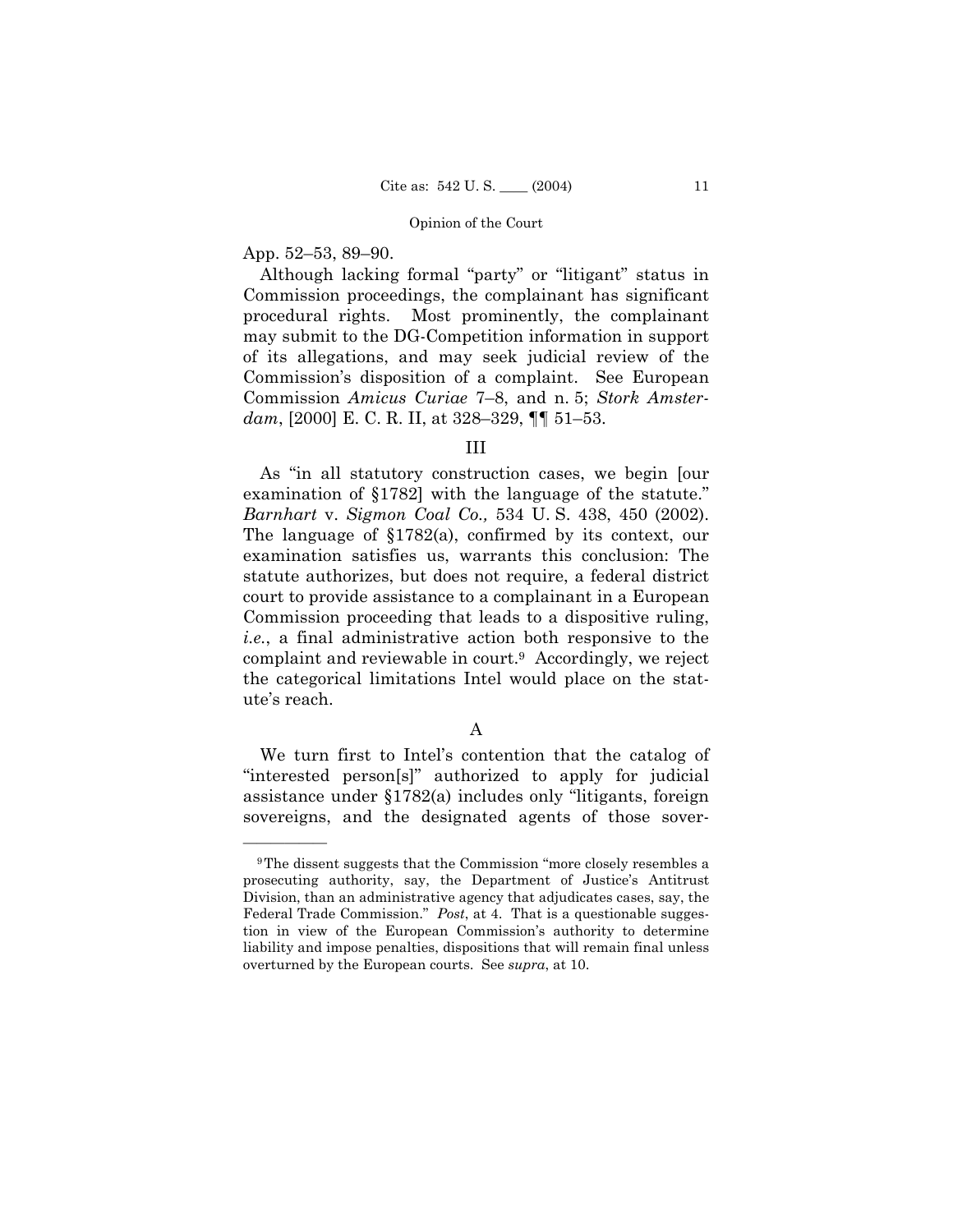App. 52–53, 89–90.

——————

Although lacking formal "party" or "litigant" status in Commission proceedings, the complainant has significant procedural rights. Most prominently, the complainant may submit to the DG-Competition information in support of its allegations, and may seek judicial review of the Commission's disposition of a complaint. See European Commission *Amicus Curiae* 7–8, and n. 5; *Stork Amsterdam*, [2000] E. C. R. II, at 328–329, ¶¶ 51–53.

# III

As "in all statutory construction cases, we begin [our examination of §1782] with the language of the statute." *Barnhart* v. *Sigmon Coal Co.,* 534 U. S. 438, 450 (2002). The language of §1782(a), confirmed by its context, our examination satisfies us, warrants this conclusion: The statute authorizes, but does not require, a federal district court to provide assistance to a complainant in a European Commission proceeding that leads to a dispositive ruling, *i.e.*, a final administrative action both responsive to the complaint and reviewable in court.9 Accordingly, we reject the categorical limitations Intel would place on the statute's reach.

## A

We turn first to Intel's contention that the catalog of "interested person[s]" authorized to apply for judicial assistance under §1782(a) includes only "litigants, foreign sovereigns, and the designated agents of those sover-

<sup>9</sup>The dissent suggests that the Commission "more closely resembles a prosecuting authority, say, the Department of Justice's Antitrust Division, than an administrative agency that adjudicates cases, say, the Federal Trade Commission." *Post*, at 4. That is a questionable suggestion in view of the European Commission's authority to determine liability and impose penalties, dispositions that will remain final unless overturned by the European courts. See *supra*, at 10.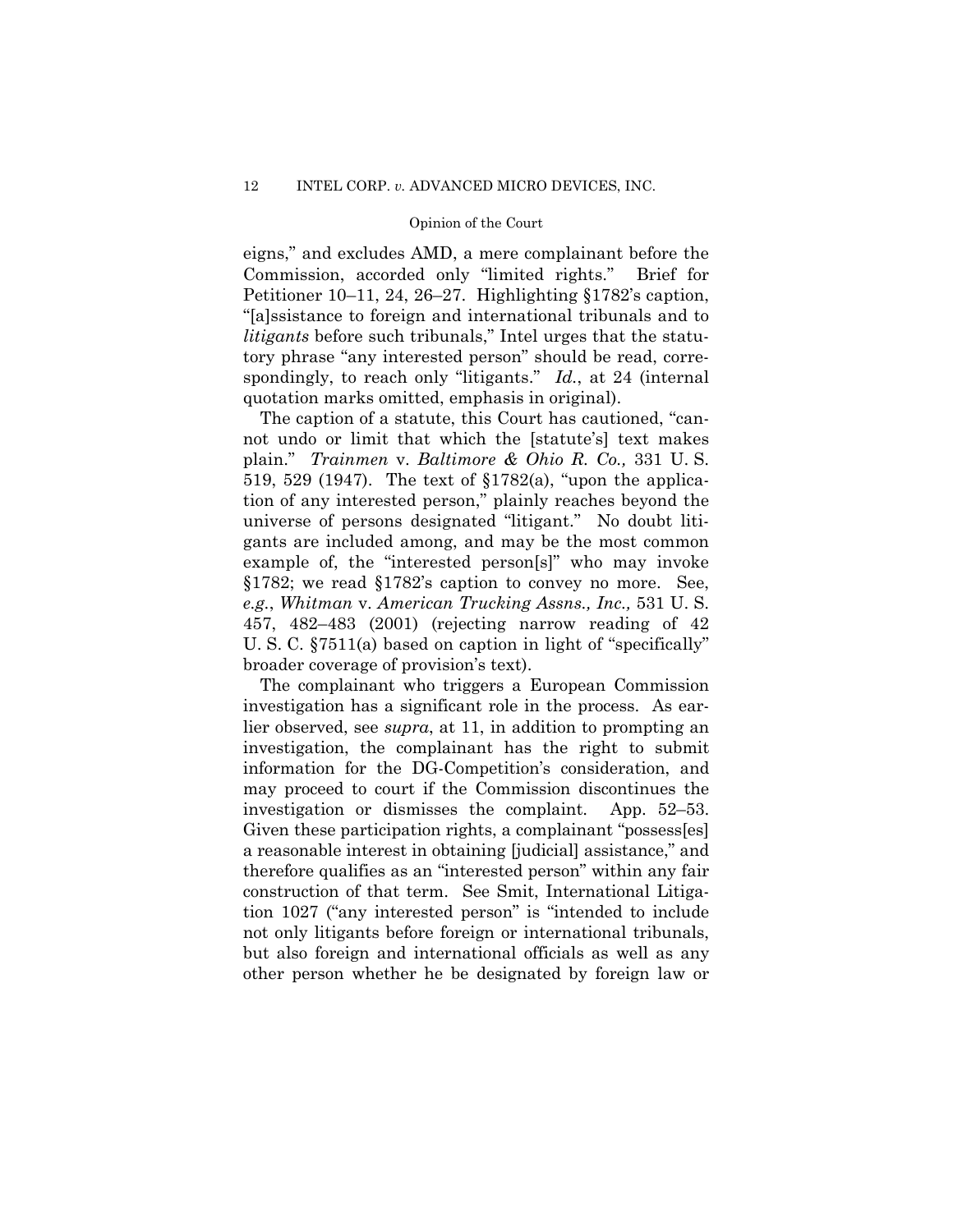eigns," and excludes AMD, a mere complainant before the Commission, accorded only "limited rights." Brief for Petitioner 10–11, 24, 26–27. Highlighting §1782's caption, "[a]ssistance to foreign and international tribunals and to *litigants* before such tribunals," Intel urges that the statutory phrase "any interested person" should be read, correspondingly, to reach only "litigants." *Id.*, at 24 (internal quotation marks omitted, emphasis in original).

The caption of a statute, this Court has cautioned, "cannot undo or limit that which the [statute's] text makes plain." *Trainmen* v. *Baltimore & Ohio R. Co.,* 331 U. S. 519, 529 (1947). The text of §1782(a), "upon the application of any interested person," plainly reaches beyond the universe of persons designated "litigant." No doubt litigants are included among, and may be the most common example of, the "interested person[s]" who may invoke §1782; we read §1782's caption to convey no more. See, *e.g.*, *Whitman* v. *American Trucking Assns., Inc.,* 531 U. S. 457, 482–483 (2001) (rejecting narrow reading of 42 U. S. C. §7511(a) based on caption in light of "specifically" broader coverage of provision's text).

The complainant who triggers a European Commission investigation has a significant role in the process. As earlier observed, see *supra*, at 11, in addition to prompting an investigation, the complainant has the right to submit information for the DG-Competition's consideration, and may proceed to court if the Commission discontinues the investigation or dismisses the complaint. App. 52–53. Given these participation rights, a complainant "possess[es] a reasonable interest in obtaining [judicial] assistance," and therefore qualifies as an "interested person" within any fair construction of that term. See Smit, International Litigation 1027 ("any interested person" is "intended to include not only litigants before foreign or international tribunals, but also foreign and international officials as well as any other person whether he be designated by foreign law or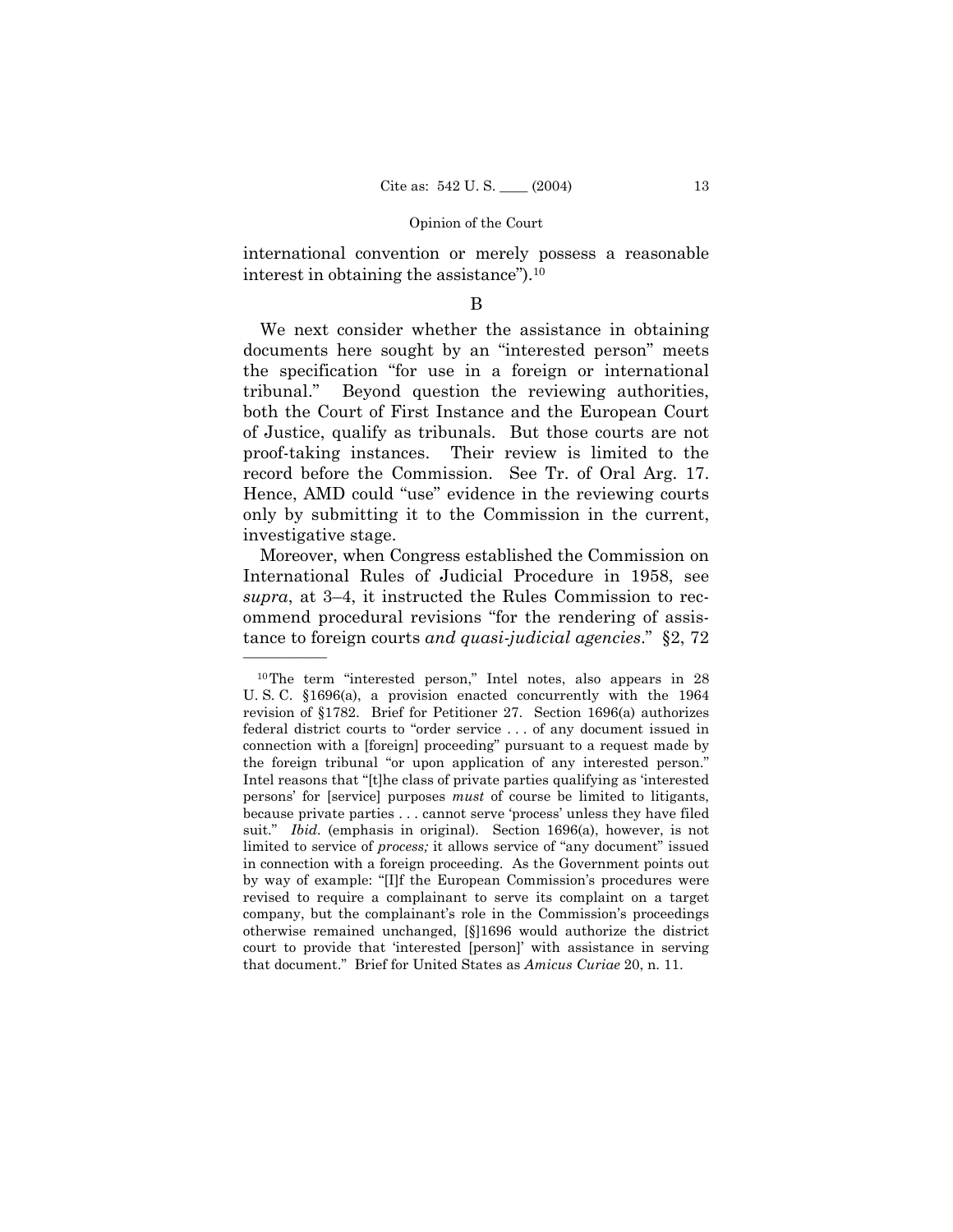international convention or merely possess a reasonable interest in obtaining the assistance").10

## B

We next consider whether the assistance in obtaining documents here sought by an "interested person" meets the specification "for use in a foreign or international tribunal." Beyond question the reviewing authorities, both the Court of First Instance and the European Court of Justice, qualify as tribunals. But those courts are not proof-taking instances. Their review is limited to the record before the Commission. See Tr. of Oral Arg. 17. Hence, AMD could "use" evidence in the reviewing courts only by submitting it to the Commission in the current, investigative stage.

Moreover, when Congress established the Commission on International Rules of Judicial Procedure in 1958, see *supra*, at 3–4, it instructed the Rules Commission to recommend procedural revisions "for the rendering of assistance to foreign courts *and quasi-judicial agencies*." §2, 72

<sup>10</sup>The term "interested person," Intel notes, also appears in 28 U. S. C. §1696(a), a provision enacted concurrently with the 1964 revision of §1782. Brief for Petitioner 27. Section 1696(a) authorizes federal district courts to "order service . . . of any document issued in connection with a [foreign] proceeding" pursuant to a request made by the foreign tribunal "or upon application of any interested person." Intel reasons that "[t]he class of private parties qualifying as 'interested persons' for [service] purposes *must* of course be limited to litigants, because private parties . . . cannot serve 'process' unless they have filed suit." *Ibid.* (emphasis in original). Section 1696(a), however, is not limited to service of *process;* it allows service of "any document" issued in connection with a foreign proceeding. As the Government points out by way of example: "[I]f the European Commission's procedures were revised to require a complainant to serve its complaint on a target company, but the complainant's role in the Commission's proceedings otherwise remained unchanged, [§]1696 would authorize the district court to provide that 'interested [person]' with assistance in serving that document." Brief for United States as *Amicus Curiae* 20, n. 11.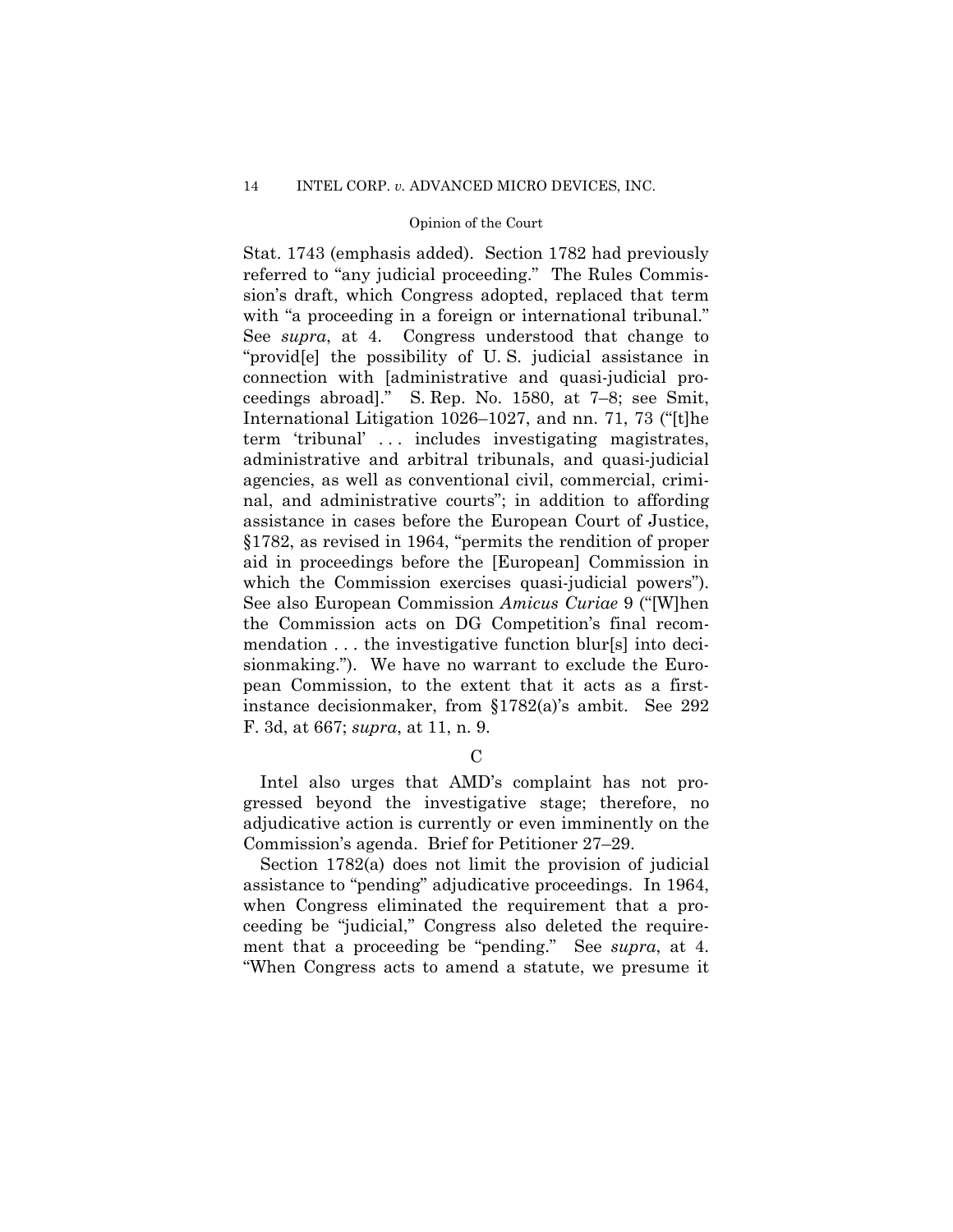Stat. 1743 (emphasis added). Section 1782 had previously referred to "any judicial proceeding." The Rules Commission's draft, which Congress adopted, replaced that term with "a proceeding in a foreign or international tribunal." See *supra*, at 4. Congress understood that change to "provid[e] the possibility of U. S. judicial assistance in connection with [administrative and quasi-judicial proceedings abroad]." S. Rep. No. 1580, at 7–8; see Smit, International Litigation 1026–1027, and nn. 71, 73 ("[t]he term 'tribunal' . . . includes investigating magistrates, administrative and arbitral tribunals, and quasi-judicial agencies, as well as conventional civil, commercial, criminal, and administrative courts"; in addition to affording assistance in cases before the European Court of Justice, §1782, as revised in 1964, "permits the rendition of proper aid in proceedings before the [European] Commission in which the Commission exercises quasi-judicial powers"). See also European Commission *Amicus Curiae* 9 ("[W]hen the Commission acts on DG Competition's final recommendation . . . the investigative function blur[s] into decisionmaking."). We have no warrant to exclude the European Commission, to the extent that it acts as a firstinstance decisionmaker, from §1782(a)'s ambit. See 292 F. 3d, at 667; *supra*, at 11, n. 9.

C

Intel also urges that AMD's complaint has not progressed beyond the investigative stage; therefore, no adjudicative action is currently or even imminently on the Commission's agenda. Brief for Petitioner 27–29.

Section 1782(a) does not limit the provision of judicial assistance to "pending" adjudicative proceedings. In 1964, when Congress eliminated the requirement that a proceeding be "judicial," Congress also deleted the requirement that a proceeding be "pending." See *supra*, at 4. "When Congress acts to amend a statute, we presume it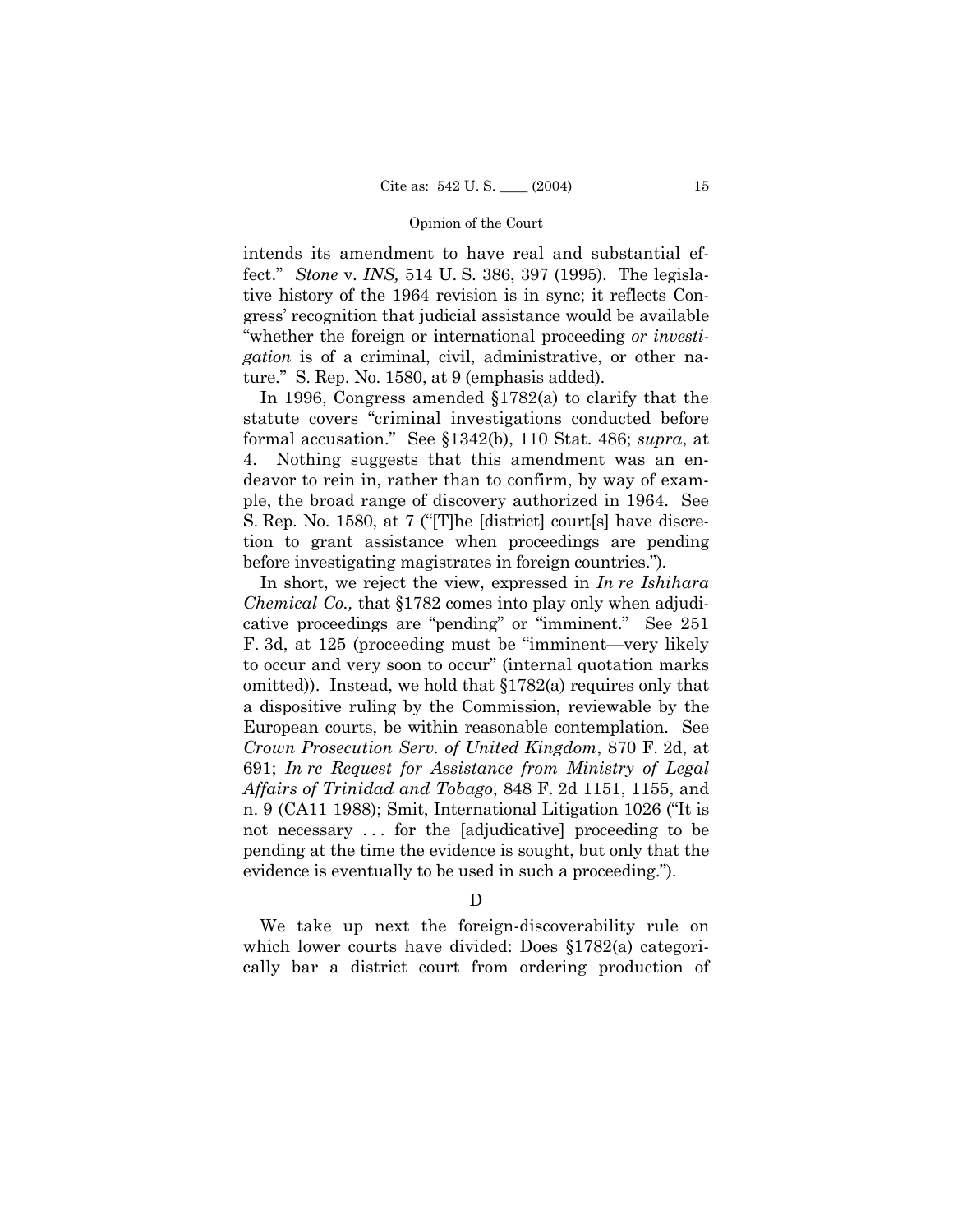intends its amendment to have real and substantial effect." *Stone* v. *INS,* 514 U. S. 386, 397 (1995). The legislative history of the 1964 revision is in sync; it reflects Congress' recognition that judicial assistance would be available "whether the foreign or international proceeding *or investigation* is of a criminal, civil, administrative, or other nature." S. Rep. No. 1580, at 9 (emphasis added).

In 1996, Congress amended §1782(a) to clarify that the statute covers "criminal investigations conducted before formal accusation." See §1342(b), 110 Stat. 486; *supra*, at 4. Nothing suggests that this amendment was an endeavor to rein in, rather than to confirm, by way of example, the broad range of discovery authorized in 1964. See S. Rep. No. 1580, at 7 ("[T]he [district] court[s] have discretion to grant assistance when proceedings are pending before investigating magistrates in foreign countries.").

In short, we reject the view, expressed in *In re Ishihara Chemical Co.,* that §1782 comes into play only when adjudicative proceedings are "pending" or "imminent." See 251 F. 3d, at 125 (proceeding must be "imminent—very likely to occur and very soon to occur" (internal quotation marks omitted)). Instead, we hold that §1782(a) requires only that a dispositive ruling by the Commission, reviewable by the European courts, be within reasonable contemplation. See *Crown Prosecution Serv. of United Kingdom*, 870 F. 2d, at 691; *In re Request for Assistance from Ministry of Legal Affairs of Trinidad and Tobago*, 848 F. 2d 1151, 1155, and n. 9 (CA11 1988); Smit, International Litigation 1026 ("It is not necessary . . . for the [adjudicative] proceeding to be pending at the time the evidence is sought, but only that the evidence is eventually to be used in such a proceeding.").

## D

We take up next the foreign-discoverability rule on which lower courts have divided: Does §1782(a) categorically bar a district court from ordering production of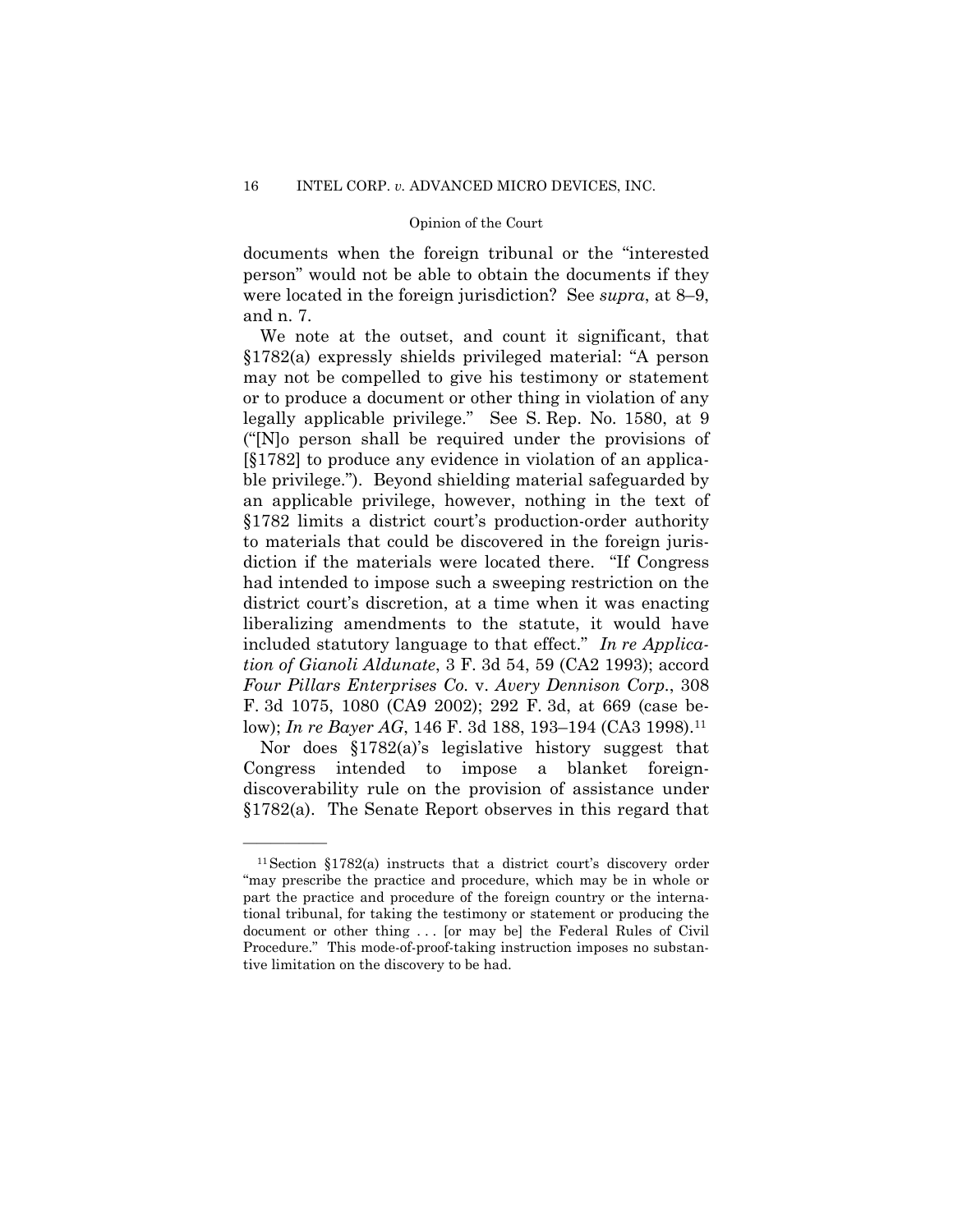documents when the foreign tribunal or the "interested person" would not be able to obtain the documents if they were located in the foreign jurisdiction? See *supra*, at 8–9, and n. 7.

We note at the outset, and count it significant, that §1782(a) expressly shields privileged material: "A person may not be compelled to give his testimony or statement or to produce a document or other thing in violation of any legally applicable privilege." See S. Rep. No. 1580, at 9 ("[N]o person shall be required under the provisions of [§1782] to produce any evidence in violation of an applicable privilege."). Beyond shielding material safeguarded by an applicable privilege, however, nothing in the text of §1782 limits a district court's production-order authority to materials that could be discovered in the foreign jurisdiction if the materials were located there. "If Congress had intended to impose such a sweeping restriction on the district court's discretion, at a time when it was enacting liberalizing amendments to the statute, it would have included statutory language to that effect." *In re Application of Gianoli Aldunate*, 3 F. 3d 54, 59 (CA2 1993); accord *Four Pillars Enterprises Co.* v. *Avery Dennison Corp.*, 308 F. 3d 1075, 1080 (CA9 2002); 292 F. 3d, at 669 (case below); *In re Bayer AG*, 146 F. 3d 188, 193–194 (CA3 1998).<sup>11</sup>

Nor does §1782(a)'s legislative history suggest that Congress intended to impose a blanket foreigndiscoverability rule on the provision of assistance under §1782(a). The Senate Report observes in this regard that

 $11$ Section §1782(a) instructs that a district court's discovery order "may prescribe the practice and procedure, which may be in whole or part the practice and procedure of the foreign country or the international tribunal, for taking the testimony or statement or producing the document or other thing . . . [or may be] the Federal Rules of Civil Procedure." This mode-of-proof-taking instruction imposes no substantive limitation on the discovery to be had.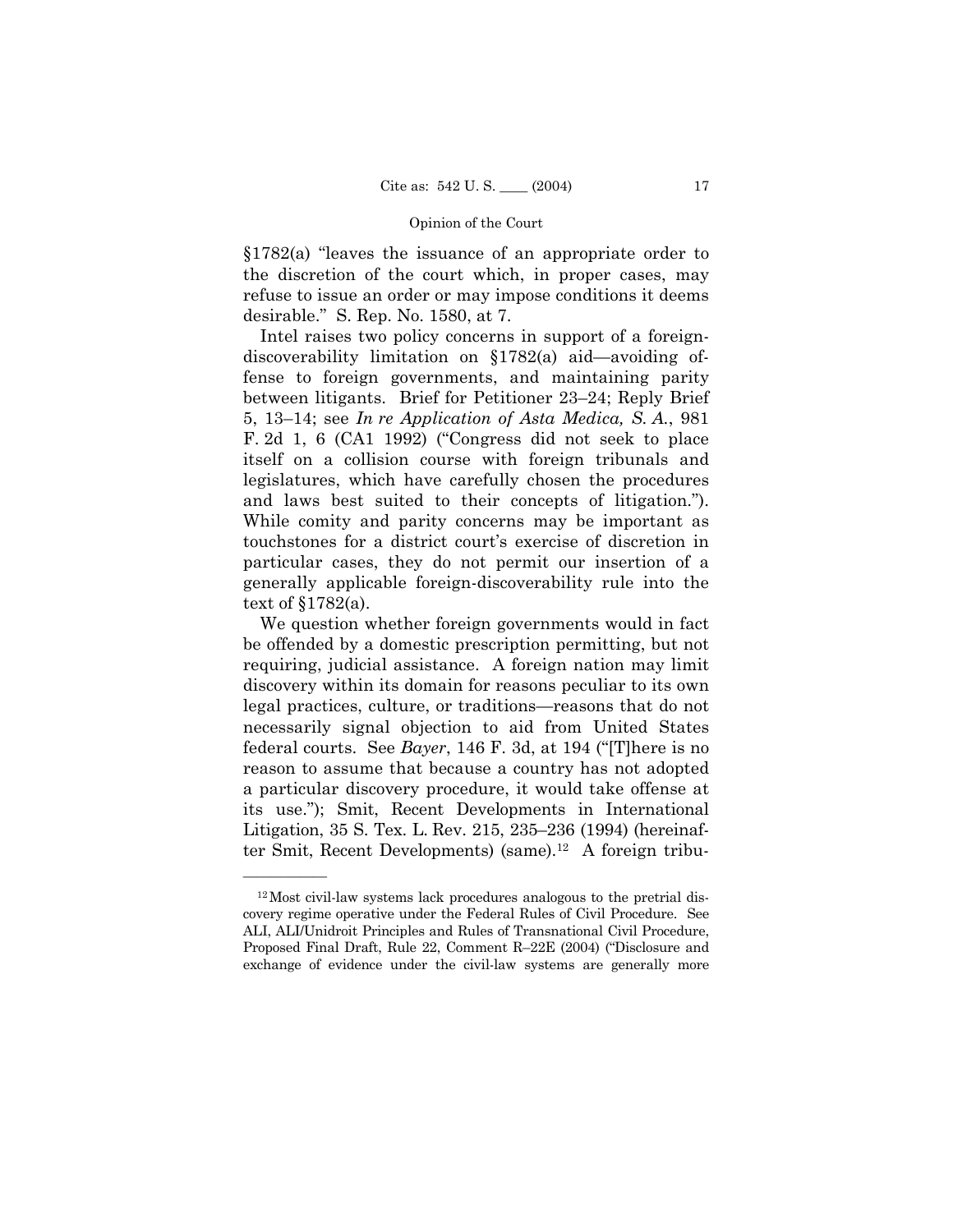§1782(a) "leaves the issuance of an appropriate order to the discretion of the court which, in proper cases, may refuse to issue an order or may impose conditions it deems desirable." S. Rep. No. 1580, at 7.

Intel raises two policy concerns in support of a foreigndiscoverability limitation on §1782(a) aid—avoiding offense to foreign governments, and maintaining parity between litigants. Brief for Petitioner 23–24; Reply Brief 5, 13–14; see *In re Application of Asta Medica, S. A.*, 981 F. 2d 1, 6 (CA1 1992) ("Congress did not seek to place itself on a collision course with foreign tribunals and legislatures, which have carefully chosen the procedures and laws best suited to their concepts of litigation."). While comity and parity concerns may be important as touchstones for a district court's exercise of discretion in particular cases, they do not permit our insertion of a generally applicable foreign-discoverability rule into the text of §1782(a).

We question whether foreign governments would in fact be offended by a domestic prescription permitting, but not requiring, judicial assistance. A foreign nation may limit discovery within its domain for reasons peculiar to its own legal practices, culture, or traditions—reasons that do not necessarily signal objection to aid from United States federal courts. See *Bayer*, 146 F. 3d, at 194 ("[T]here is no reason to assume that because a country has not adopted a particular discovery procedure, it would take offense at its use."); Smit, Recent Developments in International Litigation, 35 S. Tex. L. Rev. 215, 235–236 (1994) (hereinafter Smit, Recent Developments) (same).<sup>12</sup> A foreign tribu-

<sup>12</sup>Most civil-law systems lack procedures analogous to the pretrial discovery regime operative under the Federal Rules of Civil Procedure. See ALI, ALI/Unidroit Principles and Rules of Transnational Civil Procedure, Proposed Final Draft, Rule 22, Comment R–22E (2004) ("Disclosure and exchange of evidence under the civil-law systems are generally more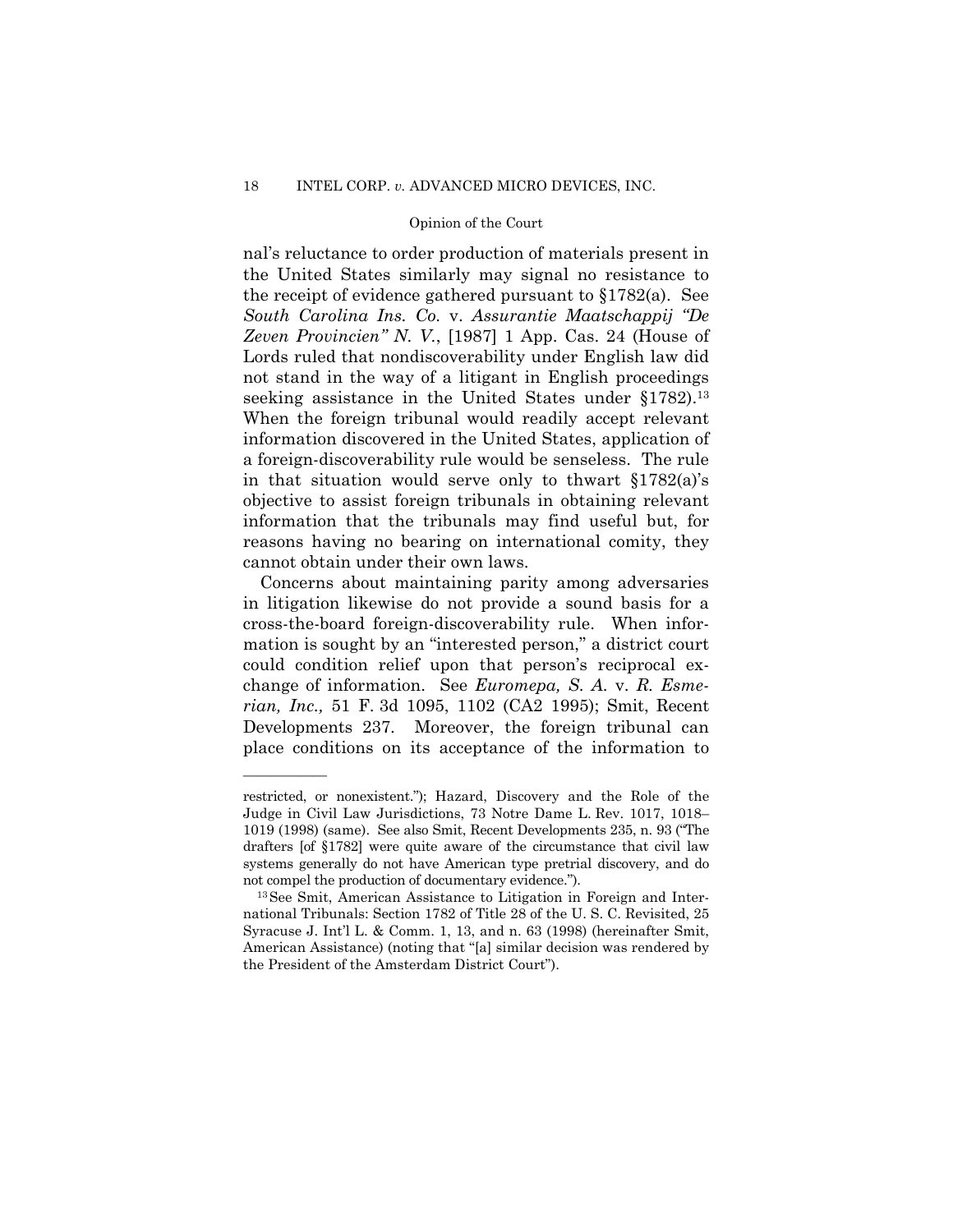nal's reluctance to order production of materials present in the United States similarly may signal no resistance to the receipt of evidence gathered pursuant to §1782(a). See *South Carolina Ins. Co.* v. *Assurantie Maatschappij "De Zeven Provincien" N. V.*, [1987] 1 App. Cas. 24 (House of Lords ruled that nondiscoverability under English law did not stand in the way of a litigant in English proceedings seeking assistance in the United States under  $\S 1782$ ).<sup>13</sup> When the foreign tribunal would readily accept relevant information discovered in the United States, application of a foreign-discoverability rule would be senseless. The rule in that situation would serve only to thwart §1782(a)'s objective to assist foreign tribunals in obtaining relevant information that the tribunals may find useful but, for reasons having no bearing on international comity, they cannot obtain under their own laws.

Concerns about maintaining parity among adversaries in litigation likewise do not provide a sound basis for a cross-the-board foreign-discoverability rule. When information is sought by an "interested person," a district court could condition relief upon that person's reciprocal exchange of information. See *Euromepa, S. A.* v. *R. Esmerian, Inc.,* 51 F. 3d 1095, 1102 (CA2 1995); Smit, Recent Developments 237. Moreover, the foreign tribunal can place conditions on its acceptance of the information to

restricted, or nonexistent."); Hazard, Discovery and the Role of the Judge in Civil Law Jurisdictions, 73 Notre Dame L. Rev. 1017, 1018– 1019 (1998) (same). See also Smit, Recent Developments 235, n. 93 ("The drafters [of §1782] were quite aware of the circumstance that civil law systems generally do not have American type pretrial discovery, and do not compel the production of documentary evidence.").<br><sup>13</sup>See Smit, American Assistance to Litigation in Foreign and Inter-

national Tribunals: Section 1782 of Title 28 of the U. S. C. Revisited, 25 Syracuse J. Int'l L. & Comm. 1, 13, and n. 63 (1998) (hereinafter Smit, American Assistance) (noting that "[a] similar decision was rendered by the President of the Amsterdam District Court").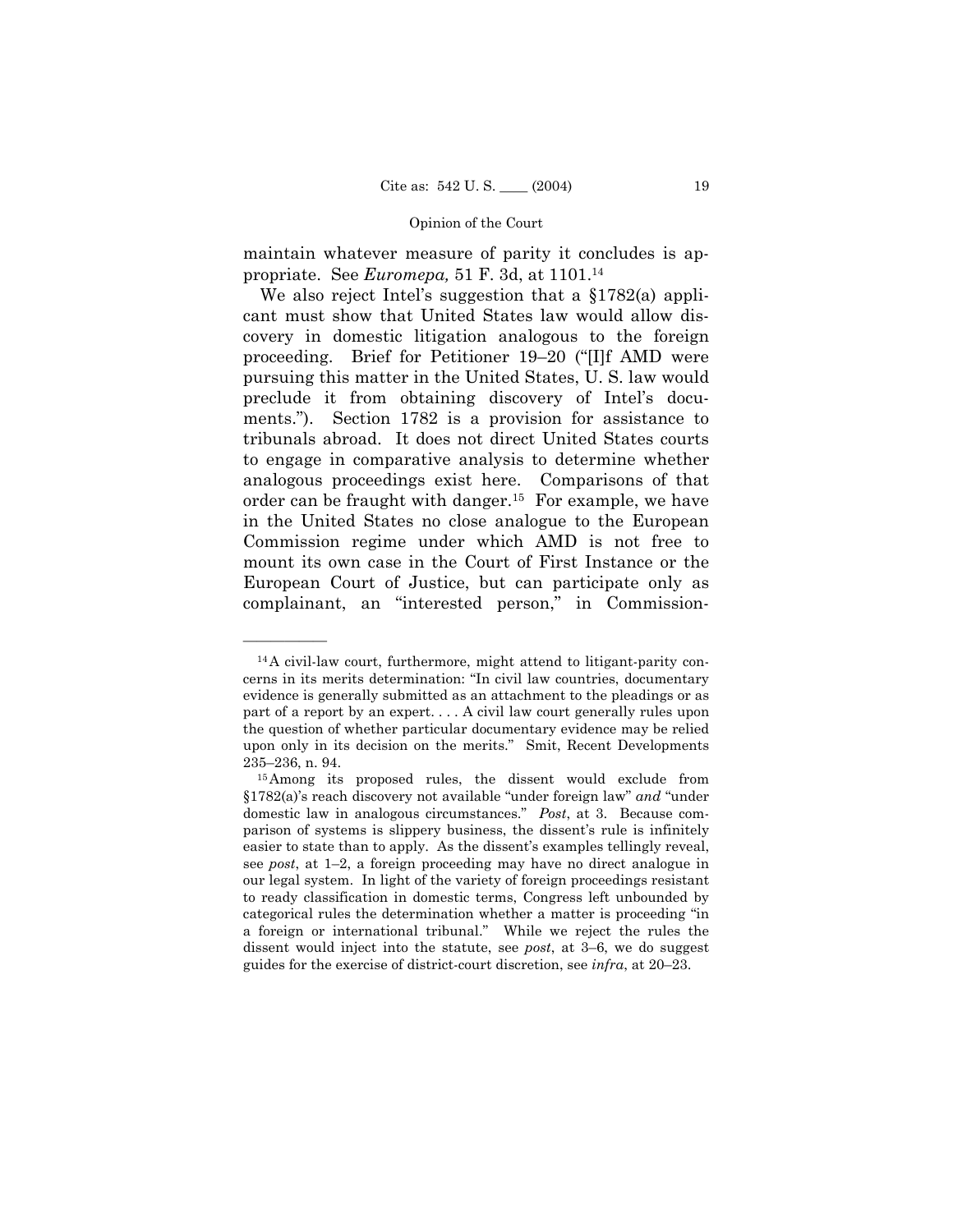maintain whatever measure of parity it concludes is appropriate. See *Euromepa,* 51 F. 3d, at 1101.14

We also reject Intel's suggestion that a §1782(a) applicant must show that United States law would allow discovery in domestic litigation analogous to the foreign proceeding. Brief for Petitioner 19–20 ("[I]f AMD were pursuing this matter in the United States, U. S. law would preclude it from obtaining discovery of Intel's documents."). Section 1782 is a provision for assistance to tribunals abroad. It does not direct United States courts to engage in comparative analysis to determine whether analogous proceedings exist here. Comparisons of that order can be fraught with danger.15 For example, we have in the United States no close analogue to the European Commission regime under which AMD is not free to mount its own case in the Court of First Instance or the European Court of Justice, but can participate only as complainant, an "interested person," in Commission-

<sup>14</sup>A civil-law court, furthermore, might attend to litigant-parity concerns in its merits determination: "In civil law countries, documentary evidence is generally submitted as an attachment to the pleadings or as part of a report by an expert. . . . A civil law court generally rules upon the question of whether particular documentary evidence may be relied upon only in its decision on the merits." Smit, Recent Developments

<sup>235–236,</sup> n. 94. 15Among its proposed rules, the dissent would exclude from §1782(a)'s reach discovery not available "under foreign law" *and* "under domestic law in analogous circumstances." *Post*, at 3. Because comparison of systems is slippery business, the dissent's rule is infinitely easier to state than to apply. As the dissent's examples tellingly reveal, see *post*, at 1–2, a foreign proceeding may have no direct analogue in our legal system. In light of the variety of foreign proceedings resistant to ready classification in domestic terms, Congress left unbounded by categorical rules the determination whether a matter is proceeding "in a foreign or international tribunal." While we reject the rules the dissent would inject into the statute, see *post*, at 3–6, we do suggest guides for the exercise of district-court discretion, see *infra*, at 20–23.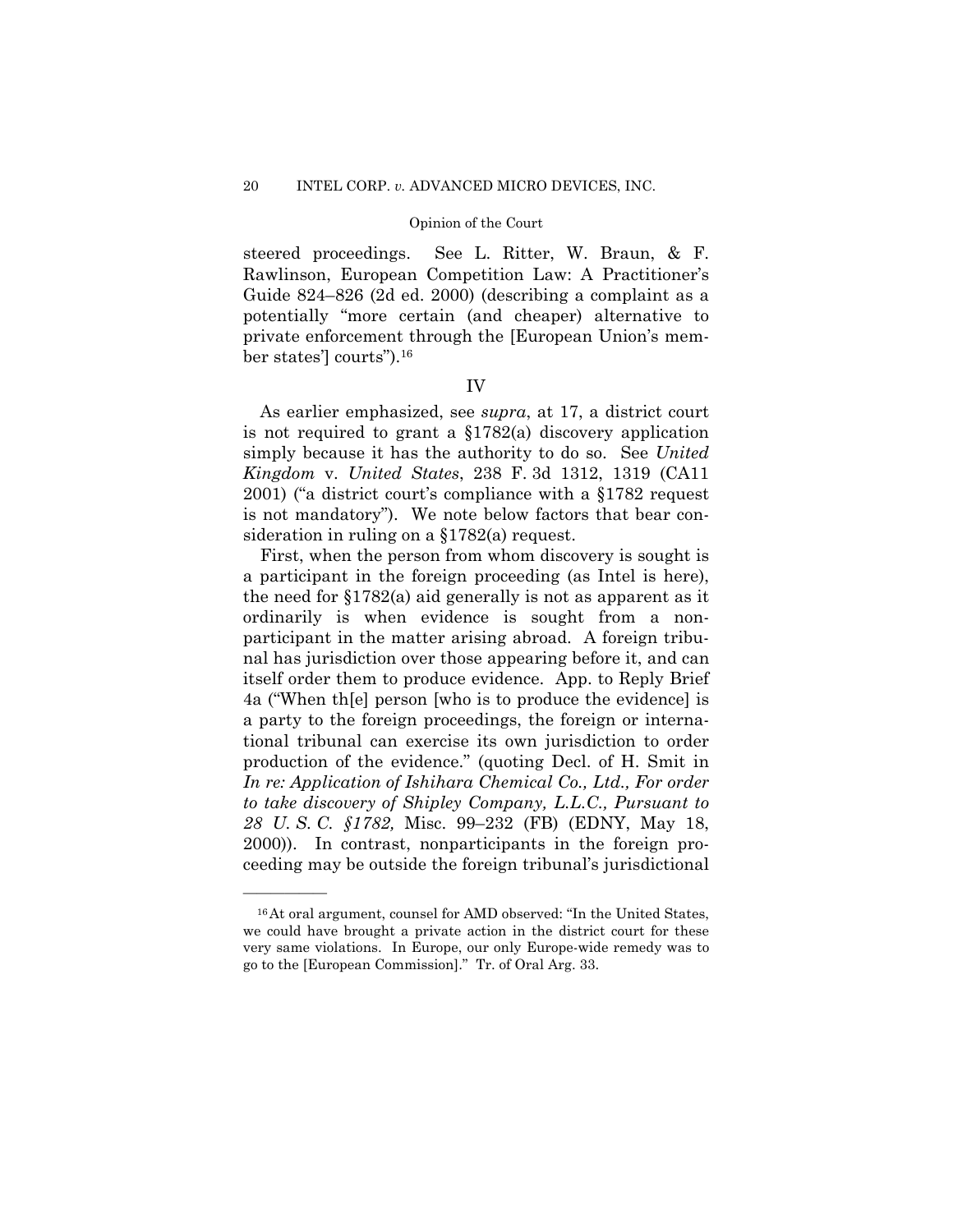steered proceedings. See L. Ritter, W. Braun, & F. Rawlinson, European Competition Law: A Practitioner's Guide 824–826 (2d ed. 2000) (describing a complaint as a potentially "more certain (and cheaper) alternative to private enforcement through the [European Union's member states'] courts").16

IV

As earlier emphasized, see *supra*, at 17, a district court is not required to grant a §1782(a) discovery application simply because it has the authority to do so. See *United Kingdom* v. *United States*, 238 F. 3d 1312, 1319 (CA11 2001) ("a district court's compliance with a §1782 request is not mandatory"). We note below factors that bear consideration in ruling on a §1782(a) request.

First, when the person from whom discovery is sought is a participant in the foreign proceeding (as Intel is here), the need for §1782(a) aid generally is not as apparent as it ordinarily is when evidence is sought from a nonparticipant in the matter arising abroad. A foreign tribunal has jurisdiction over those appearing before it, and can itself order them to produce evidence. App. to Reply Brief 4a ("When th[e] person [who is to produce the evidence] is a party to the foreign proceedings, the foreign or international tribunal can exercise its own jurisdiction to order production of the evidence." (quoting Decl. of H. Smit in *In re: Application of Ishihara Chemical Co., Ltd., For order to take discovery of Shipley Company, L.L.C., Pursuant to 28 U. S. C. §1782,* Misc. 99–232 (FB) (EDNY, May 18, 2000)). In contrast, nonparticipants in the foreign proceeding may be outside the foreign tribunal's jurisdictional

<sup>16</sup>At oral argument, counsel for AMD observed: "In the United States, we could have brought a private action in the district court for these very same violations. In Europe, our only Europe-wide remedy was to go to the [European Commission]." Tr. of Oral Arg. 33.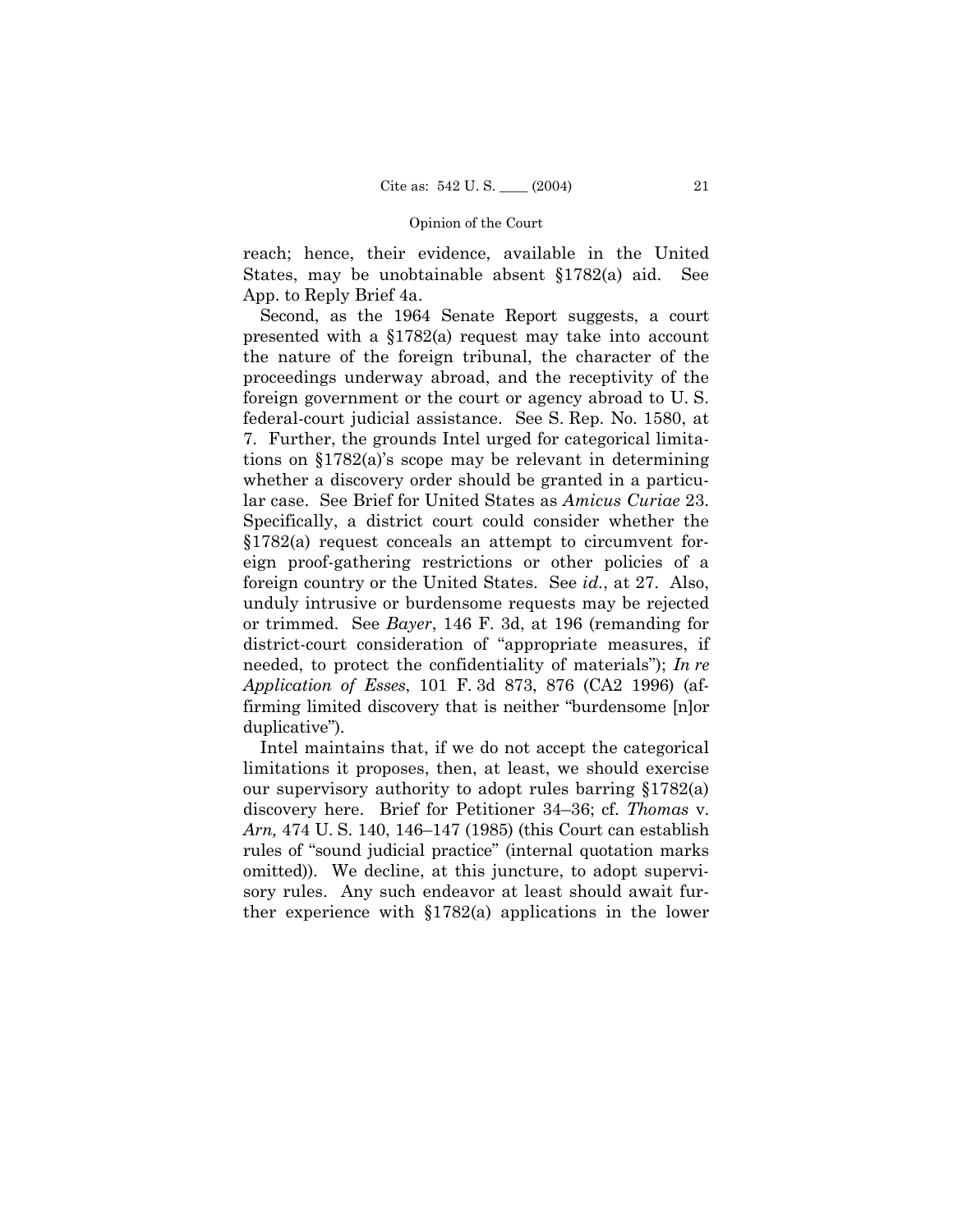reach; hence, their evidence, available in the United States, may be unobtainable absent §1782(a) aid. See App. to Reply Brief 4a.

Second, as the 1964 Senate Report suggests, a court presented with a §1782(a) request may take into account the nature of the foreign tribunal, the character of the proceedings underway abroad, and the receptivity of the foreign government or the court or agency abroad to U. S. federal-court judicial assistance. See S. Rep. No. 1580, at 7. Further, the grounds Intel urged for categorical limitations on §1782(a)'s scope may be relevant in determining whether a discovery order should be granted in a particular case. See Brief for United States as *Amicus Curiae* 23. Specifically, a district court could consider whether the §1782(a) request conceals an attempt to circumvent foreign proof-gathering restrictions or other policies of a foreign country or the United States. See *id.*, at 27. Also, unduly intrusive or burdensome requests may be rejected or trimmed. See *Bayer*, 146 F. 3d, at 196 (remanding for district-court consideration of "appropriate measures, if needed, to protect the confidentiality of materials"); *In re Application of Esses*, 101 F. 3d 873, 876 (CA2 1996) (affirming limited discovery that is neither "burdensome [n]or duplicative").

Intel maintains that, if we do not accept the categorical limitations it proposes, then, at least, we should exercise our supervisory authority to adopt rules barring §1782(a) discovery here. Brief for Petitioner 34–36; cf. *Thomas* v. *Arn,* 474 U. S. 140, 146–147 (1985) (this Court can establish rules of "sound judicial practice" (internal quotation marks omitted)). We decline, at this juncture, to adopt supervisory rules. Any such endeavor at least should await further experience with §1782(a) applications in the lower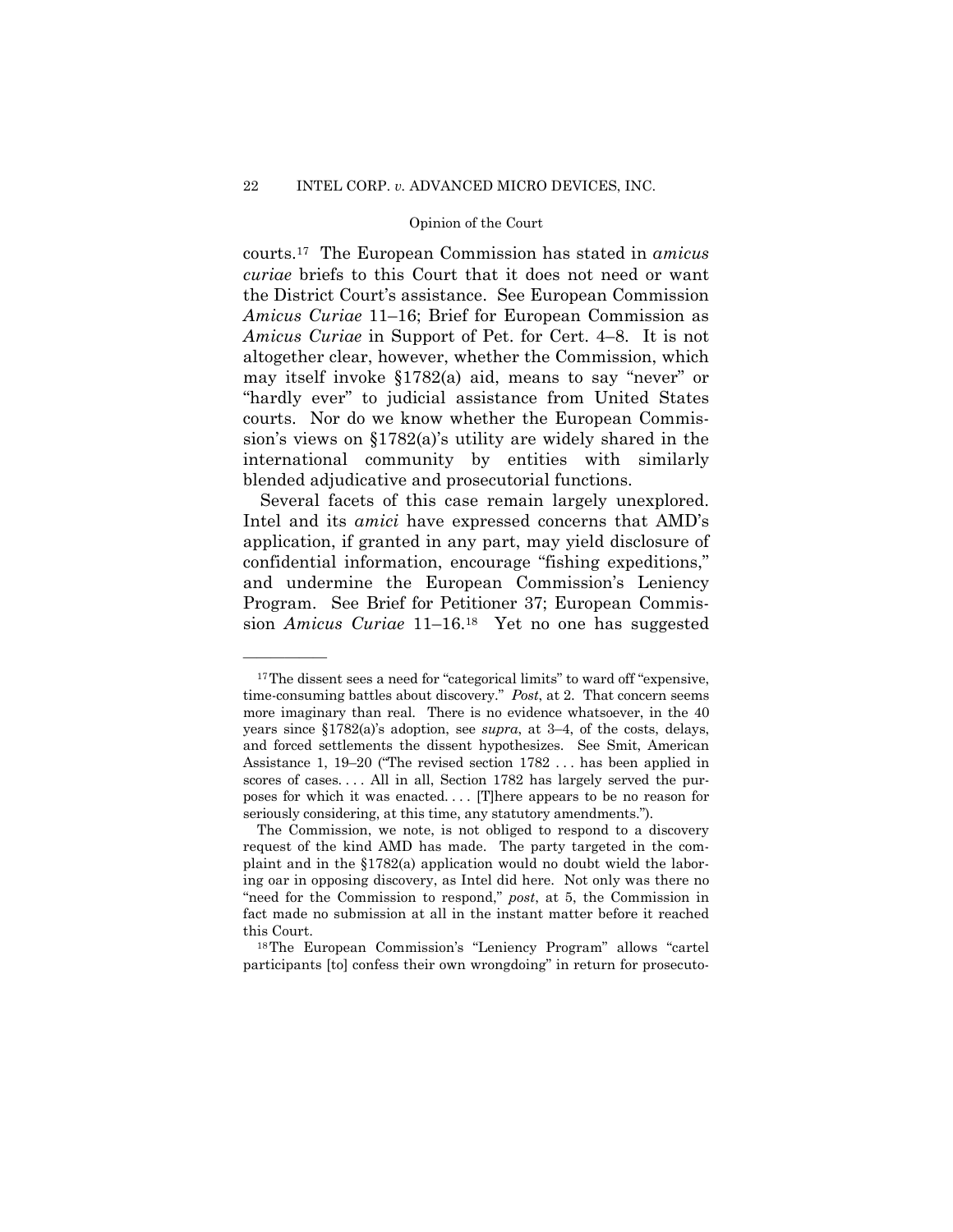courts.17 The European Commission has stated in *amicus curiae* briefs to this Court that it does not need or want the District Court's assistance. See European Commission *Amicus Curiae* 11–16; Brief for European Commission as *Amicus Curiae* in Support of Pet. for Cert. 4–8. It is not altogether clear, however, whether the Commission, which may itself invoke §1782(a) aid, means to say "never" or "hardly ever" to judicial assistance from United States courts. Nor do we know whether the European Commission's views on §1782(a)'s utility are widely shared in the international community by entities with similarly blended adjudicative and prosecutorial functions.

Several facets of this case remain largely unexplored. Intel and its *amici* have expressed concerns that AMD's application, if granted in any part, may yield disclosure of confidential information, encourage "fishing expeditions," and undermine the European Commission's Leniency Program. See Brief for Petitioner 37; European Commission *Amicus Curiae* 11–16.18 Yet no one has suggested

<sup>&</sup>lt;sup>17</sup>The dissent sees a need for "categorical limits" to ward off "expensive, time-consuming battles about discovery." *Post*, at 2. That concern seems more imaginary than real. There is no evidence whatsoever, in the 40 years since §1782(a)'s adoption, see *supra*, at 3–4, of the costs, delays, and forced settlements the dissent hypothesizes. See Smit, American Assistance 1, 19–20 ("The revised section 1782 . . . has been applied in scores of cases.... All in all, Section 1782 has largely served the purposes for which it was enacted. . . . [T]here appears to be no reason for seriously considering, at this time, any statutory amendments.").

The Commission, we note, is not obliged to respond to a discovery request of the kind AMD has made. The party targeted in the complaint and in the §1782(a) application would no doubt wield the laboring oar in opposing discovery, as Intel did here. Not only was there no "need for the Commission to respond," *post*, at 5, the Commission in fact made no submission at all in the instant matter before it reached this Court. 18The European Commission's "Leniency Program" allows "cartel

participants [to] confess their own wrongdoing" in return for prosecuto-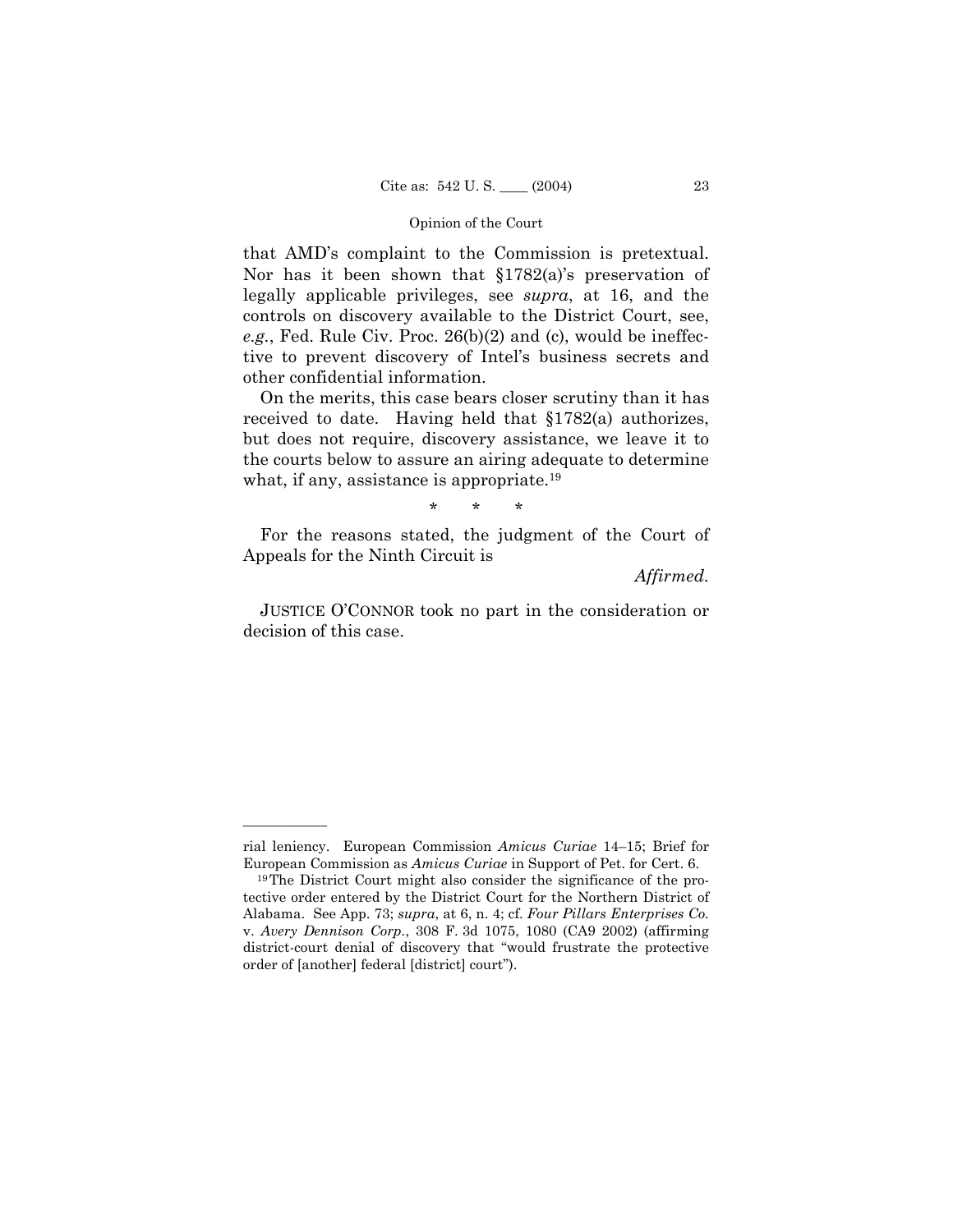that AMD's complaint to the Commission is pretextual. Nor has it been shown that §1782(a)'s preservation of legally applicable privileges, see *supra*, at 16, and the controls on discovery available to the District Court, see, *e.g.*, Fed. Rule Civ. Proc. 26(b)(2) and (c), would be ineffective to prevent discovery of Intel's business secrets and other confidential information.

On the merits, this case bears closer scrutiny than it has received to date. Having held that §1782(a) authorizes, but does not require, discovery assistance, we leave it to the courts below to assure an airing adequate to determine what, if any, assistance is appropriate.<sup>19</sup>

\* \* \*

For the reasons stated, the judgment of the Court of Appeals for the Ninth Circuit is

*Affirmed.* 

JUSTICE O'CONNOR took no part in the consideration or decision of this case.

rial leniency. European Commission *Amicus Curiae* 14–15; Brief for

European Commission as *Amicus Curiae* in Support of Pet. for Cert. 6. 19The District Court might also consider the significance of the protective order entered by the District Court for the Northern District of Alabama. See App. 73; *supra*, at 6, n. 4; cf. *Four Pillars Enterprises Co.*  v. *Avery Dennison Corp.*, 308 F. 3d 1075, 1080 (CA9 2002) (affirming district-court denial of discovery that "would frustrate the protective order of [another] federal [district] court").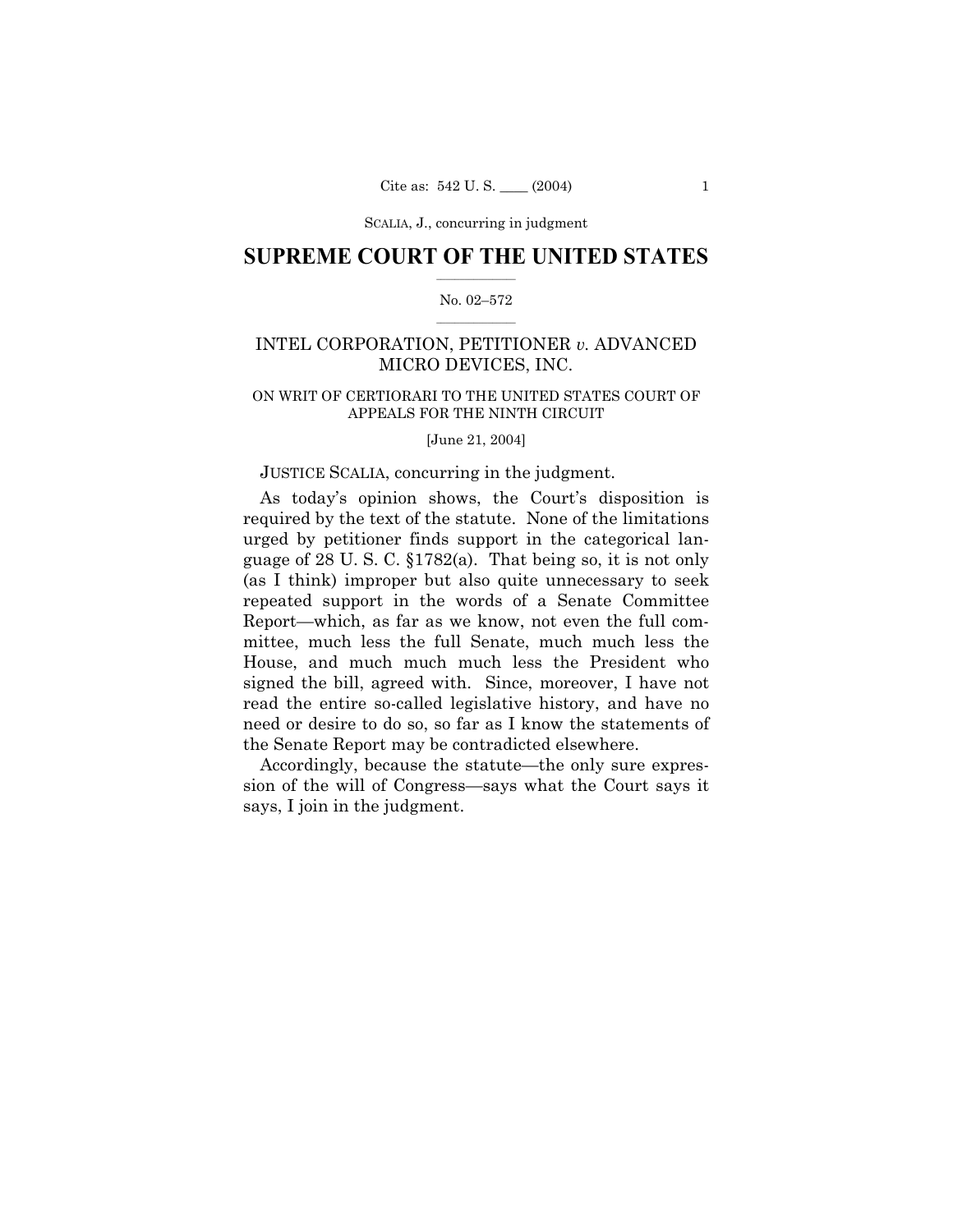SCALIA, J., concurring in judgment

# **SUPREME COURT OF THE UNITED STATES**  $\frac{1}{2}$  ,  $\frac{1}{2}$  ,  $\frac{1}{2}$  ,  $\frac{1}{2}$  ,  $\frac{1}{2}$  ,  $\frac{1}{2}$

## No. 02–572  $\frac{1}{2}$  ,  $\frac{1}{2}$  ,  $\frac{1}{2}$  ,  $\frac{1}{2}$  ,  $\frac{1}{2}$  ,  $\frac{1}{2}$  ,  $\frac{1}{2}$

# INTEL CORPORATION, PETITIONER *v.* ADVANCED MICRO DEVICES, INC.

# ON WRIT OF CERTIORARI TO THE UNITED STATES COURT OF APPEALS FOR THE NINTH CIRCUIT

[June 21, 2004]

## JUSTICE SCALIA, concurring in the judgment.

As today's opinion shows, the Court's disposition is required by the text of the statute. None of the limitations urged by petitioner finds support in the categorical language of 28 U. S. C. §1782(a). That being so, it is not only (as I think) improper but also quite unnecessary to seek repeated support in the words of a Senate Committee Report—which, as far as we know, not even the full committee, much less the full Senate, much much less the House, and much much much less the President who signed the bill, agreed with. Since, moreover, I have not read the entire so-called legislative history, and have no need or desire to do so, so far as I know the statements of the Senate Report may be contradicted elsewhere.

Accordingly, because the statute—the only sure expression of the will of Congress—says what the Court says it says, I join in the judgment.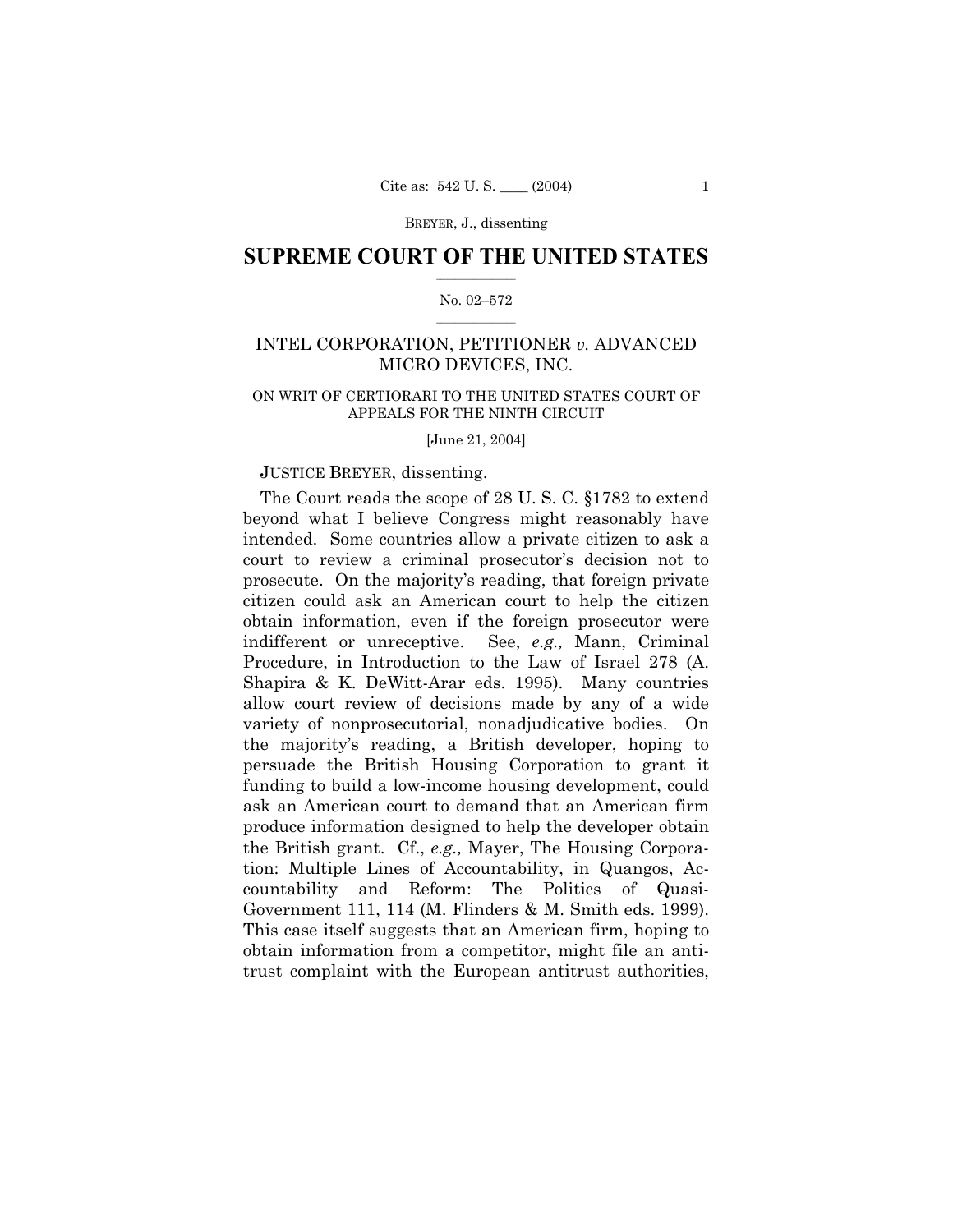# **SUPREME COURT OF THE UNITED STATES**  $\frac{1}{2}$  ,  $\frac{1}{2}$  ,  $\frac{1}{2}$  ,  $\frac{1}{2}$  ,  $\frac{1}{2}$  ,  $\frac{1}{2}$

## No. 02-572  $\frac{1}{2}$  ,  $\frac{1}{2}$  ,  $\frac{1}{2}$  ,  $\frac{1}{2}$  ,  $\frac{1}{2}$  ,  $\frac{1}{2}$  ,  $\frac{1}{2}$

# INTEL CORPORATION, PETITIONER *v.* ADVANCED MICRO DEVICES, INC.

# ON WRIT OF CERTIORARI TO THE UNITED STATES COURT OF APPEALS FOR THE NINTH CIRCUIT

[June 21, 2004]

## JUSTICE BREYER, dissenting.

The Court reads the scope of 28 U. S. C. ß1782 to extend beyond what I believe Congress might reasonably have intended. Some countries allow a private citizen to ask a court to review a criminal prosecutor's decision not to prosecute. On the majorityís reading, that foreign private citizen could ask an American court to help the citizen obtain information, even if the foreign prosecutor were indifferent or unreceptive. See, *e.g.,* Mann, Criminal Procedure, in Introduction to the Law of Israel 278 (A. Shapira & K. DeWitt-Arar eds. 1995). Many countries allow court review of decisions made by any of a wide variety of nonprosecutorial, nonadjudicative bodies. On the majorityís reading, a British developer, hoping to persuade the British Housing Corporation to grant it funding to build a low-income housing development, could ask an American court to demand that an American firm produce information designed to help the developer obtain the British grant. Cf., *e.g.,* Mayer, The Housing Corporation: Multiple Lines of Accountability, in Quangos, Accountability and Reform: The Politics of Quasi-Government 111, 114 (M. Flinders & M. Smith eds. 1999). This case itself suggests that an American firm, hoping to obtain information from a competitor, might file an antitrust complaint with the European antitrust authorities,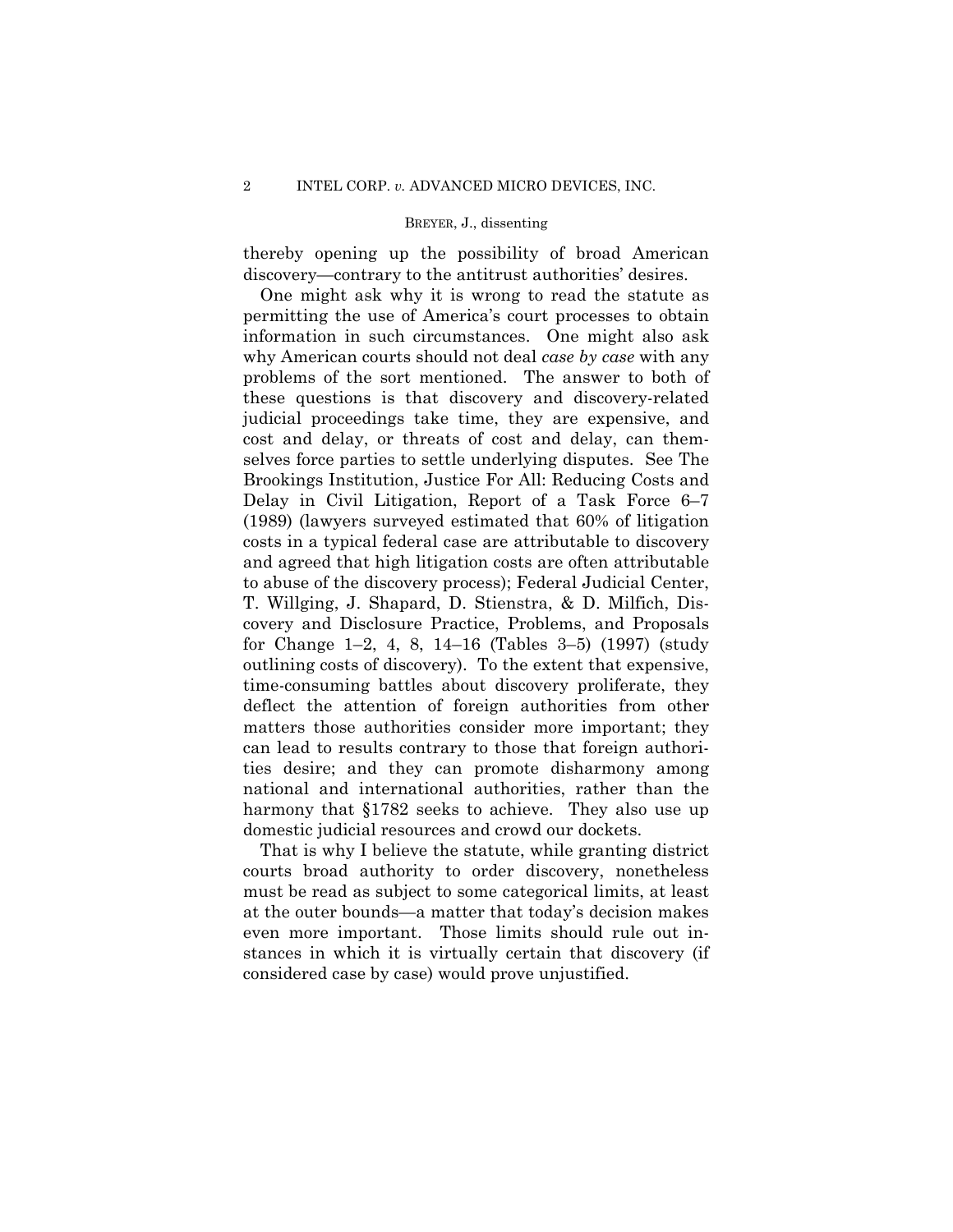thereby opening up the possibility of broad American discovery—contrary to the antitrust authorities' desires.

One might ask why it is wrong to read the statute as permitting the use of Americaís court processes to obtain information in such circumstances. One might also ask why American courts should not deal *case by case* with any problems of the sort mentioned. The answer to both of these questions is that discovery and discovery-related judicial proceedings take time, they are expensive, and cost and delay, or threats of cost and delay, can themselves force parties to settle underlying disputes. See The Brookings Institution, Justice For All: Reducing Costs and Delay in Civil Litigation, Report of a Task Force  $6-7$ (1989) (lawyers surveyed estimated that 60% of litigation costs in a typical federal case are attributable to discovery and agreed that high litigation costs are often attributable to abuse of the discovery process); Federal Judicial Center, T. Willging, J. Shapard, D. Stienstra, & D. Milfich, Discovery and Disclosure Practice, Problems, and Proposals for Change 1–2, 4, 8, 14–16 (Tables 3–5) (1997) (study outlining costs of discovery). To the extent that expensive, time-consuming battles about discovery proliferate, they deflect the attention of foreign authorities from other matters those authorities consider more important; they can lead to results contrary to those that foreign authorities desire; and they can promote disharmony among national and international authorities, rather than the harmony that  $\S1782$  seeks to achieve. They also use up domestic judicial resources and crowd our dockets.

That is why I believe the statute, while granting district courts broad authority to order discovery, nonetheless must be read as subject to some categorical limits, at least at the outer bounds—a matter that today's decision makes even more important. Those limits should rule out instances in which it is virtually certain that discovery (if considered case by case) would prove unjustified.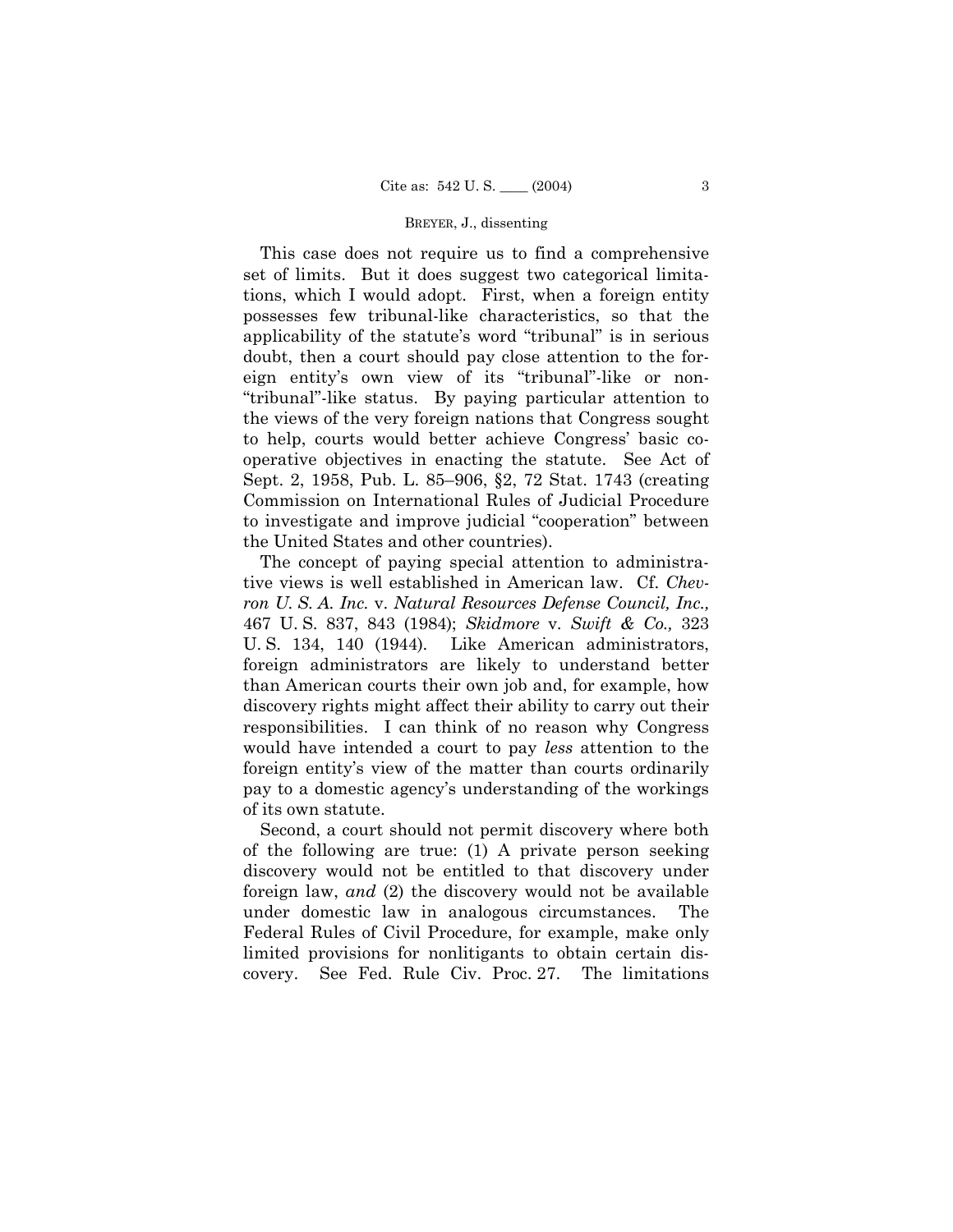This case does not require us to find a comprehensive set of limits. But it does suggest two categorical limitations, which I would adopt. First, when a foreign entity possesses few tribunal-like characteristics, so that the applicability of the statute's word "tribunal" is in serious doubt, then a court should pay close attention to the foreign entity's own view of its "tribunal"-like or nonìtribunalî-like status. By paying particular attention to the views of the very foreign nations that Congress sought to help, courts would better achieve Congressí basic cooperative objectives in enacting the statute. See Act of Sept. 2, 1958, Pub. L. 85–906, §2, 72 Stat. 1743 (creating Commission on International Rules of Judicial Procedure to investigate and improve judicial "cooperation" between the United States and other countries).

The concept of paying special attention to administrative views is well established in American law. Cf. *Chevron U. S. A. Inc.* v. *Natural Resources Defense Council, Inc.,*  467 U. S. 837, 843 (1984); *Skidmore* v. *Swift & Co.,* 323 U. S. 134, 140 (1944). Like American administrators, foreign administrators are likely to understand better than American courts their own job and, for example, how discovery rights might affect their ability to carry out their responsibilities. I can think of no reason why Congress would have intended a court to pay *less* attention to the foreign entityís view of the matter than courts ordinarily pay to a domestic agencyís understanding of the workings of its own statute.

Second, a court should not permit discovery where both of the following are true: (1) A private person seeking discovery would not be entitled to that discovery under foreign law, *and* (2) the discovery would not be available under domestic law in analogous circumstances. The Federal Rules of Civil Procedure, for example, make only limited provisions for nonlitigants to obtain certain discovery. See Fed. Rule Civ. Proc. 27. The limitations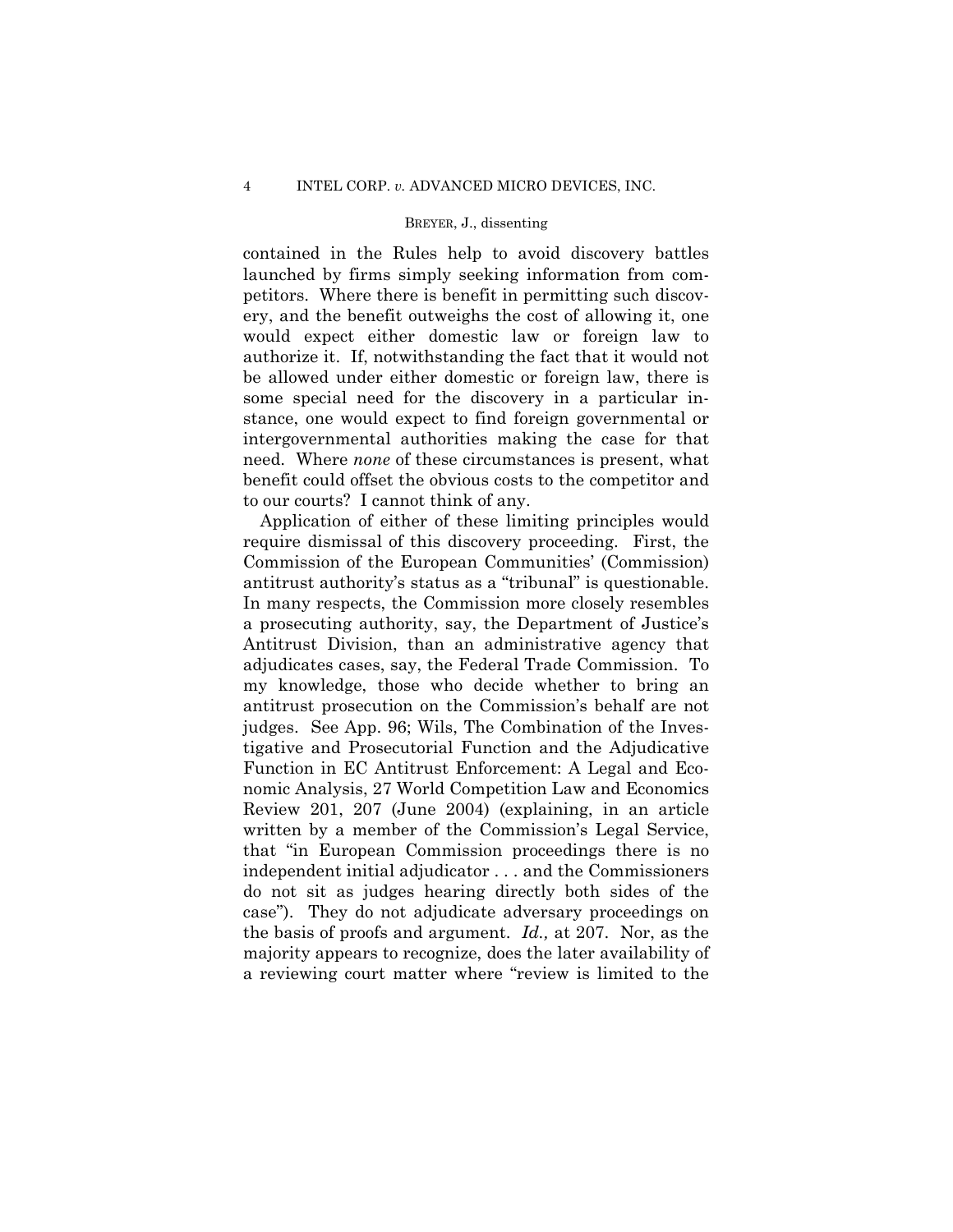contained in the Rules help to avoid discovery battles launched by firms simply seeking information from competitors. Where there is benefit in permitting such discovery, and the benefit outweighs the cost of allowing it, one would expect either domestic law or foreign law to authorize it. If, notwithstanding the fact that it would not be allowed under either domestic or foreign law, there is some special need for the discovery in a particular instance, one would expect to find foreign governmental or intergovernmental authorities making the case for that need. Where *none* of these circumstances is present, what benefit could offset the obvious costs to the competitor and to our courts? I cannot think of any.

Application of either of these limiting principles would require dismissal of this discovery proceeding. First, the Commission of the European Communities' (Commission) antitrust authority's status as a "tribunal" is questionable. In many respects, the Commission more closely resembles a prosecuting authority, say, the Department of Justice's Antitrust Division, than an administrative agency that adjudicates cases, say, the Federal Trade Commission. To my knowledge, those who decide whether to bring an antitrust prosecution on the Commission's behalf are not judges. See App. 96; Wils, The Combination of the Investigative and Prosecutorial Function and the Adjudicative Function in EC Antitrust Enforcement: A Legal and Economic Analysis, 27 World Competition Law and Economics Review 201, 207 (June 2004) (explaining, in an article written by a member of the Commission's Legal Service, that "in European Commission proceedings there is no independent initial adjudicator . . . and the Commissioners do not sit as judges hearing directly both sides of the caseî). They do not adjudicate adversary proceedings on the basis of proofs and argument. *Id.,* at 207. Nor, as the majority appears to recognize, does the later availability of a reviewing court matter where "review is limited to the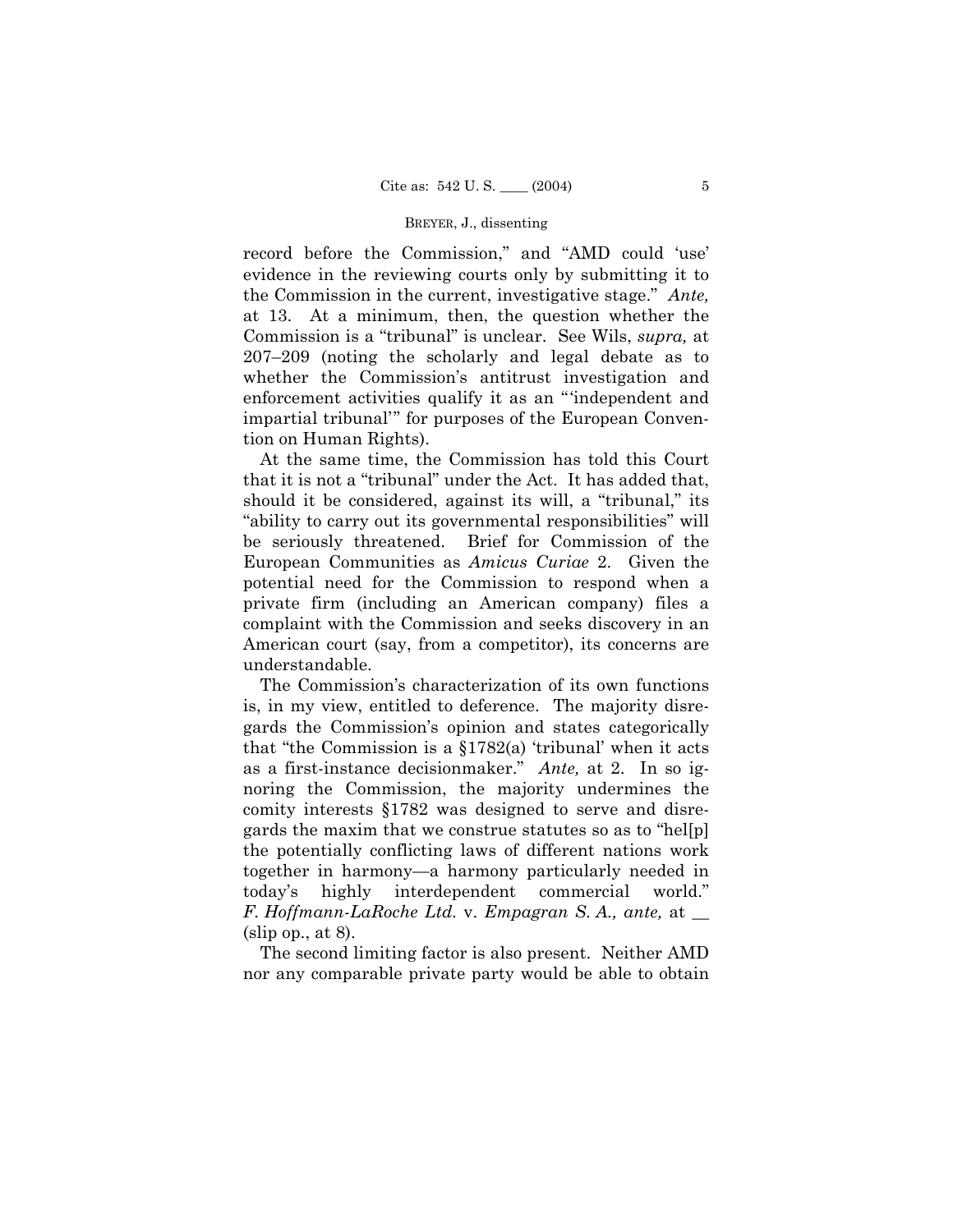record before the Commission," and "AMD could 'use' evidence in the reviewing courts only by submitting it to the Commission in the current, investigative stage." Ante, at 13. At a minimum, then, the question whether the Commission is a "tribunal" is unclear. See Wils, *supra*, at  $207-209$  (noting the scholarly and legal debate as to whether the Commission's antitrust investigation and enforcement activities qualify it as an "independent and impartial tribunal<sup>"</sup> for purposes of the European Convention on Human Rights).

At the same time, the Commission has told this Court that it is not a "tribunal" under the Act. It has added that, should it be considered, against its will, a "tribunal," its "ability to carry out its governmental responsibilities" will be seriously threatened. Brief for Commission of the European Communities as *Amicus Curiae* 2. Given the potential need for the Commission to respond when a private firm (including an American company) files a complaint with the Commission and seeks discovery in an American court (say, from a competitor), its concerns are understandable.

The Commission's characterization of its own functions is, in my view, entitled to deference. The majority disregards the Commission's opinion and states categorically that "the Commission is a  $\S1782(a)$  'tribunal' when it acts as a first-instance decisionmaker.î *Ante,* at 2. In so ignoring the Commission, the majority undermines the comity interests ß1782 was designed to serve and disregards the maxim that we construe statutes so as to "hel[p] the potentially conflicting laws of different nations work together in harmony—a harmony particularly needed in today's highly interdependent commercial world." *F. Hoffmann-LaRoche Ltd.* v. *Empagran S. A., ante,* at \_\_  $(slip$  op., at 8).

The second limiting factor is also present. Neither AMD nor any comparable private party would be able to obtain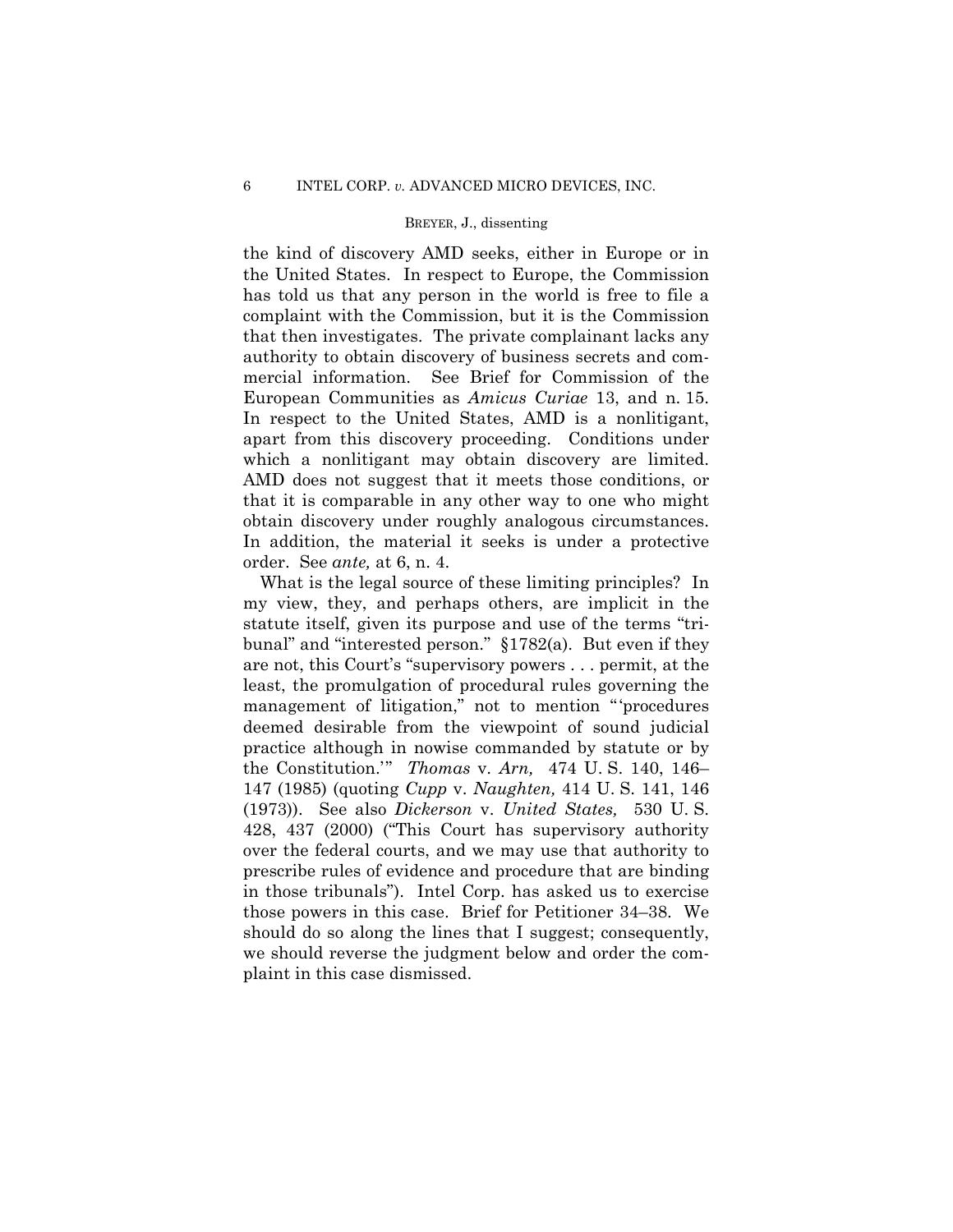the kind of discovery AMD seeks, either in Europe or in the United States. In respect to Europe, the Commission has told us that any person in the world is free to file a complaint with the Commission, but it is the Commission that then investigates. The private complainant lacks any authority to obtain discovery of business secrets and commercial information. See Brief for Commission of the European Communities as *Amicus Curiae* 13, and n. 15. In respect to the United States, AMD is a nonlitigant, apart from this discovery proceeding. Conditions under which a nonlitigant may obtain discovery are limited. AMD does not suggest that it meets those conditions, or that it is comparable in any other way to one who might obtain discovery under roughly analogous circumstances. In addition, the material it seeks is under a protective order. See *ante,* at 6, n. 4.

What is the legal source of these limiting principles? In my view, they, and perhaps others, are implicit in the statute itself, given its purpose and use of the terms "tribunal" and "interested person."  $\S 1782(a)$ . But even if they are not, this Court's "supervisory powers . . . permit, at the least, the promulgation of procedural rules governing the management of litigation," not to mention "procedures deemed desirable from the viewpoint of sound judicial practice although in nowise commanded by statute or by the Constitution.<sup>77</sup> *Thomas v. Arn, 474 U.S. 140, 146*– 147 (1985) (quoting *Cupp* v. *Naughten,* 414 U. S. 141, 146 (1973)). See also *Dickerson* v. *United States,* 530 U. S. 428, 437 (2000) ("This Court has supervisory authority over the federal courts, and we may use that authority to prescribe rules of evidence and procedure that are binding in those tribunalsî). Intel Corp. has asked us to exercise those powers in this case. Brief for Petitioner 34–38. We should do so along the lines that I suggest; consequently, we should reverse the judgment below and order the complaint in this case dismissed.